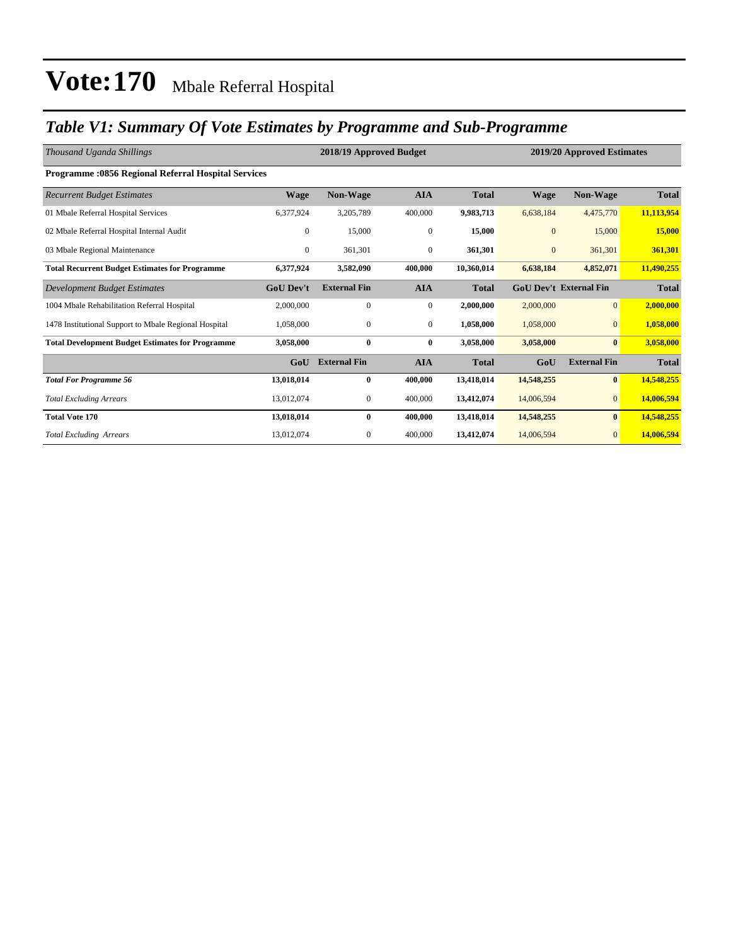### *Table V1: Summary Of Vote Estimates by Programme and Sub-Programme*

| Thousand Uganda Shillings                                  |                  | 2018/19 Approved Budget |              |              | 2019/20 Approved Estimates |                               |              |  |
|------------------------------------------------------------|------------------|-------------------------|--------------|--------------|----------------------------|-------------------------------|--------------|--|
| <b>Programme: 0856 Regional Referral Hospital Services</b> |                  |                         |              |              |                            |                               |              |  |
| <b>Recurrent Budget Estimates</b>                          | <b>Wage</b>      | Non-Wage                | <b>AIA</b>   | <b>Total</b> | <b>Wage</b>                | Non-Wage                      | <b>Total</b> |  |
| 01 Mbale Referral Hospital Services                        | 6,377,924        | 3,205,789               | 400,000      | 9,983,713    | 6,638,184                  | 4,475,770                     | 11,113,954   |  |
| 02 Mbale Referral Hospital Internal Audit                  | $\mathbf{0}$     | 15,000                  | $\mathbf{0}$ | 15,000       | $\mathbf{0}$               | 15,000                        | 15,000       |  |
| 03 Mbale Regional Maintenance                              | $\overline{0}$   | 361,301                 | $\mathbf{0}$ | 361,301      | $\mathbf{0}$               | 361,301                       | 361,301      |  |
| <b>Total Recurrent Budget Estimates for Programme</b>      | 6,377,924        | 3,582,090               | 400,000      | 10,360,014   | 6,638,184                  | 4,852,071                     | 11,490,255   |  |
| Development Budget Estimates                               | <b>GoU Dev't</b> | <b>External Fin</b>     | <b>AIA</b>   | <b>Total</b> |                            | <b>GoU Dev't External Fin</b> | <b>Total</b> |  |
| 1004 Mbale Rehabilitation Referral Hospital                | 2,000,000        | $\mathbf{0}$            | $\mathbf{0}$ | 2,000,000    | 2,000,000                  | $\overline{0}$                | 2,000,000    |  |
| 1478 Institutional Support to Mbale Regional Hospital      | 1,058,000        | $\mathbf{0}$            | $\mathbf{0}$ | 1,058,000    | 1,058,000                  | $\overline{0}$                | 1,058,000    |  |
| <b>Total Development Budget Estimates for Programme</b>    | 3,058,000        | $\bf{0}$                | $\bf{0}$     | 3,058,000    | 3,058,000                  | $\bf{0}$                      | 3,058,000    |  |
|                                                            | GoU              | <b>External Fin</b>     | <b>AIA</b>   | <b>Total</b> | GoU                        | <b>External Fin</b>           | <b>Total</b> |  |
| <b>Total For Programme 56</b>                              | 13,018,014       | $\bf{0}$                | 400,000      | 13,418,014   | 14,548,255                 | $\bf{0}$                      | 14,548,255   |  |
| <b>Total Excluding Arrears</b>                             | 13,012,074       | $\mathbf{0}$            | 400,000      | 13,412,074   | 14,006,594                 | $\overline{0}$                | 14,006,594   |  |
| <b>Total Vote 170</b>                                      | 13,018,014       | 0                       | 400,000      | 13,418,014   | 14,548,255                 | $\bf{0}$                      | 14,548,255   |  |
| <b>Total Excluding Arrears</b>                             | 13,012,074       | $\mathbf{0}$            | 400,000      | 13,412,074   | 14,006,594                 | $\overline{0}$                | 14,006,594   |  |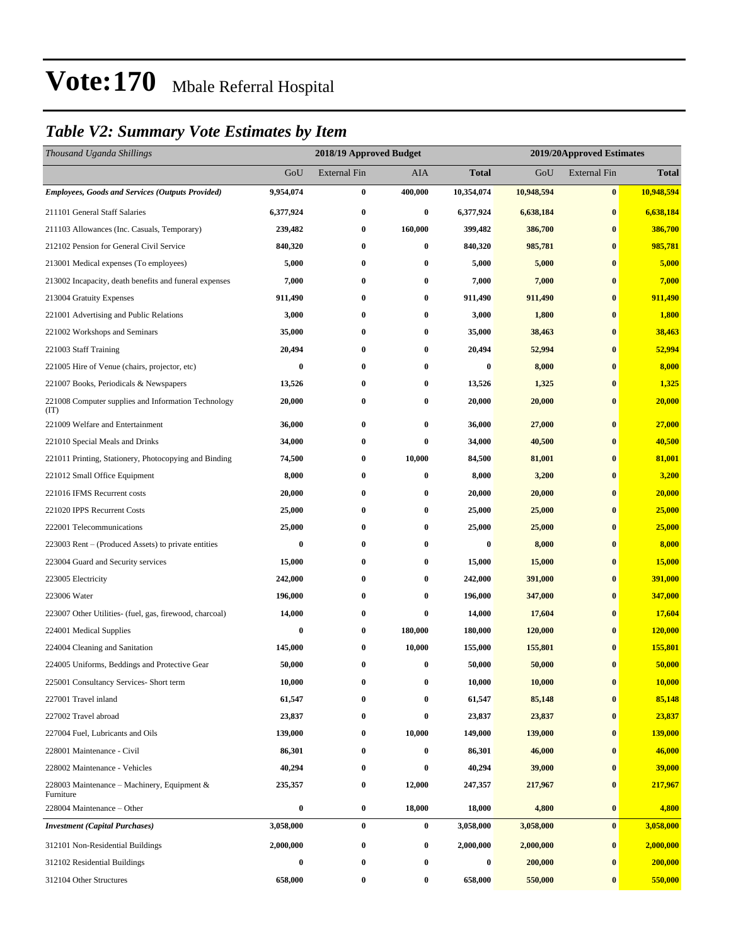### *Table V2: Summary Vote Estimates by Item*

| Thousand Uganda Shillings                                   |                  | 2018/19 Approved Budget |              |              | 2019/20Approved Estimates |                     |              |
|-------------------------------------------------------------|------------------|-------------------------|--------------|--------------|---------------------------|---------------------|--------------|
|                                                             | GoU              | <b>External Fin</b>     | <b>AIA</b>   | <b>Total</b> | GoU                       | <b>External Fin</b> | <b>Total</b> |
| Employees, Goods and Services (Outputs Provided)            | 9,954,074        | 0                       | 400,000      | 10,354,074   | 10,948,594                | $\bf{0}$            | 10,948,594   |
| 211101 General Staff Salaries                               | 6,377,924        | $\bf{0}$                | $\bf{0}$     | 6,377,924    | 6,638,184                 | $\bf{0}$            | 6,638,184    |
| 211103 Allowances (Inc. Casuals, Temporary)                 | 239,482          | $\bf{0}$                | 160,000      | 399,482      | 386,700                   | $\bf{0}$            | 386,700      |
| 212102 Pension for General Civil Service                    | 840,320          | $\bf{0}$                | $\bf{0}$     | 840,320      | 985,781                   | $\bf{0}$            | 985,781      |
| 213001 Medical expenses (To employees)                      | 5,000            | $\bf{0}$                | $\bf{0}$     | 5,000        | 5,000                     | $\bf{0}$            | 5,000        |
| 213002 Incapacity, death benefits and funeral expenses      | 7,000            | $\bf{0}$                | $\bf{0}$     | 7,000        | 7,000                     | $\bf{0}$            | 7,000        |
| 213004 Gratuity Expenses                                    | 911,490          | $\bf{0}$                | $\bf{0}$     | 911,490      | 911,490                   | $\bf{0}$            | 911,490      |
| 221001 Advertising and Public Relations                     | 3,000            | $\bf{0}$                | $\bf{0}$     | 3,000        | 1,800                     | $\bf{0}$            | 1,800        |
| 221002 Workshops and Seminars                               | 35,000           | 0                       | $\bf{0}$     | 35,000       | 38,463                    | $\bf{0}$            | 38,463       |
| 221003 Staff Training                                       | 20,494           | $\bf{0}$                | $\bf{0}$     | 20,494       | 52,994                    | $\bf{0}$            | 52,994       |
| 221005 Hire of Venue (chairs, projector, etc)               | $\bf{0}$         | $\bf{0}$                | $\bf{0}$     | $\bf{0}$     | 8,000                     | $\bf{0}$            | 8,000        |
| 221007 Books, Periodicals & Newspapers                      | 13,526           | $\bf{0}$                | $\bf{0}$     | 13,526       | 1,325                     | $\bf{0}$            | 1,325        |
| 221008 Computer supplies and Information Technology<br>(TT) | 20,000           | $\bf{0}$                | $\bf{0}$     | 20,000       | 20,000                    | $\bf{0}$            | 20,000       |
| 221009 Welfare and Entertainment                            | 36,000           | $\bf{0}$                | $\bf{0}$     | 36,000       | 27,000                    | $\bf{0}$            | 27,000       |
| 221010 Special Meals and Drinks                             | 34,000           | 0                       | $\bf{0}$     | 34,000       | 40,500                    | $\bf{0}$            | 40,500       |
| 221011 Printing, Stationery, Photocopying and Binding       | 74,500           | $\bf{0}$                | 10,000       | 84,500       | 81,001                    | $\bf{0}$            | 81,001       |
| 221012 Small Office Equipment                               | 8,000            | $\bf{0}$                | $\bf{0}$     | 8,000        | 3,200                     | $\bf{0}$            | 3,200        |
| 221016 IFMS Recurrent costs                                 | 20,000           | $\bf{0}$                | $\bf{0}$     | 20,000       | 20,000                    | $\bf{0}$            | 20,000       |
| 221020 IPPS Recurrent Costs                                 | 25,000           | $\bf{0}$                | $\bf{0}$     | 25,000       | 25,000                    | $\bf{0}$            | 25,000       |
| 222001 Telecommunications                                   | 25,000           | 0                       | $\bf{0}$     | 25,000       | 25,000                    | $\bf{0}$            | 25,000       |
| 223003 Rent – (Produced Assets) to private entities         | $\bf{0}$         | $\bf{0}$                | $\bf{0}$     | $\bf{0}$     | 8,000                     | $\bf{0}$            | 8,000        |
| 223004 Guard and Security services                          | 15,000           | 0                       | $\bf{0}$     | 15,000       | 15,000                    | $\bf{0}$            | 15,000       |
| 223005 Electricity                                          | 242,000          | $\bf{0}$                | $\bf{0}$     | 242,000      | 391,000                   | $\bf{0}$            | 391,000      |
| 223006 Water                                                | 196,000          | $\bf{0}$                | $\bf{0}$     | 196,000      | 347,000                   | $\bf{0}$            | 347,000      |
| 223007 Other Utilities- (fuel, gas, firewood, charcoal)     | 14,000           | $\bf{0}$                | $\bf{0}$     | 14,000       | 17,604                    | $\bf{0}$            | 17,604       |
| 224001 Medical Supplies                                     | $\bf{0}$         | $\boldsymbol{0}$        | 180,000      | 180,000      | 120,000                   | $\bf{0}$            | 120,000      |
| 224004 Cleaning and Sanitation                              | 145,000          | $\bf{0}$                | 10,000       | 155,000      | 155,801                   | $\bf{0}$            | 155,801      |
| 224005 Uniforms, Beddings and Protective Gear               | 50,000           | $\bf{0}$                | $\bf{0}$     | 50,000       | 50,000                    | $\bf{0}$            | 50,000       |
| 225001 Consultancy Services- Short term                     | 10,000           | $\boldsymbol{0}$        | $\bf{0}$     | 10,000       | 10,000                    | $\bf{0}$            | 10,000       |
| 227001 Travel inland                                        | 61,547           | $\bf{0}$                | $\mathbf{0}$ | 61,547       | 85,148                    | $\bf{0}$            | 85,148       |
| 227002 Travel abroad                                        | 23,837           | $\boldsymbol{0}$        | $\bf{0}$     | 23,837       | 23,837                    | $\bf{0}$            | 23,837       |
| 227004 Fuel, Lubricants and Oils                            | 139,000          | $\bf{0}$                | 10,000       | 149,000      | 139,000                   | $\bf{0}$            | 139,000      |
| 228001 Maintenance - Civil                                  | 86,301           | $\boldsymbol{0}$        | $\bf{0}$     | 86,301       | 46,000                    | $\bf{0}$            | 46,000       |
| 228002 Maintenance - Vehicles                               | 40,294           | $\boldsymbol{0}$        | $\bf{0}$     | 40,294       | 39,000                    | $\bf{0}$            | 39,000       |
| 228003 Maintenance – Machinery, Equipment $\&$<br>Furniture | 235,357          | $\boldsymbol{0}$        | 12,000       | 247,357      | 217,967                   | $\bf{0}$            | 217,967      |
| 228004 Maintenance – Other                                  | $\boldsymbol{0}$ | $\boldsymbol{0}$        | 18,000       | 18,000       | 4,800                     | $\bf{0}$            | 4,800        |
| <b>Investment (Capital Purchases)</b>                       | 3,058,000        | $\pmb{0}$               | $\bf{0}$     | 3,058,000    | 3,058,000                 | $\bf{0}$            | 3,058,000    |
| 312101 Non-Residential Buildings                            | 2,000,000        | $\boldsymbol{0}$        | $\bf{0}$     | 2,000,000    | 2,000,000                 | $\bf{0}$            | 2,000,000    |
| 312102 Residential Buildings                                | 0                | $\bf{0}$                | $\bf{0}$     | 0            | 200,000                   | $\bf{0}$            | 200,000      |
| 312104 Other Structures                                     | 658,000          | $\boldsymbol{0}$        | $\bf{0}$     | 658,000      | 550,000                   | $\bf{0}$            | 550,000      |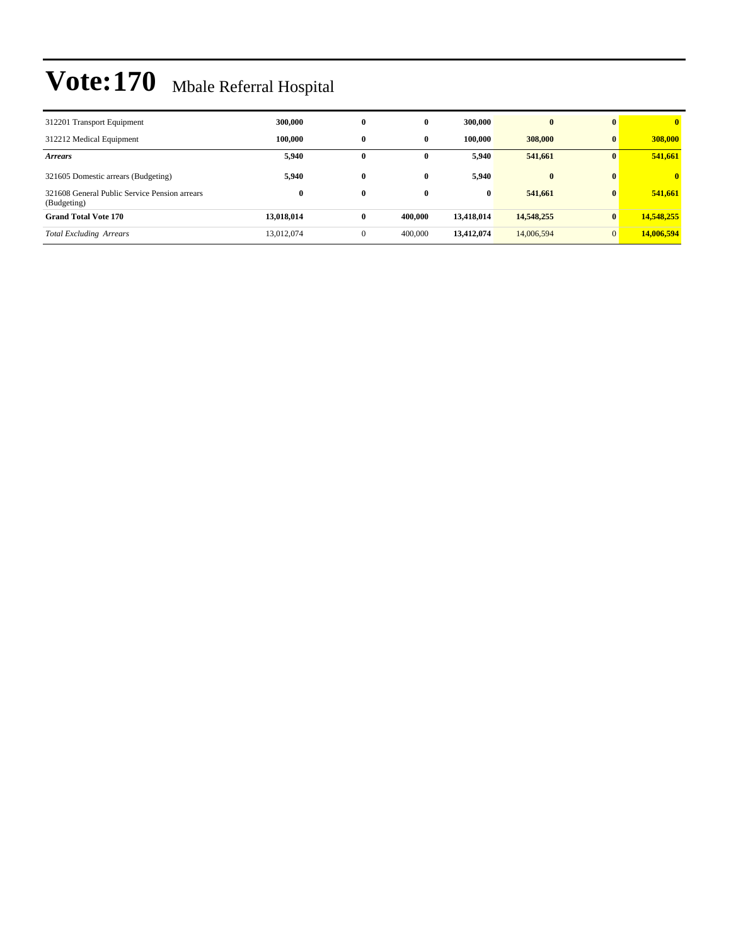| 312201 Transport Equipment                                   | 300,000    | $\bf{0}$     | $\mathbf{0}$ | 300,000    | $\bf{0}$   | $\mathbf{0}$ | $\mathbf{0}$ |
|--------------------------------------------------------------|------------|--------------|--------------|------------|------------|--------------|--------------|
| 312212 Medical Equipment                                     | 100.000    | $\mathbf{0}$ | $\mathbf{0}$ | 100.000    | 308,000    | $\mathbf{0}$ | 308,000      |
| <b>Arrears</b>                                               | 5,940      | $\bf{0}$     | 0            | 5,940      | 541,661    | $\mathbf{0}$ | 541,661      |
| 321605 Domestic arrears (Budgeting)                          | 5.940      | $\bf{0}$     | $\mathbf{0}$ | 5.940      | $\bf{0}$   | $\mathbf{0}$ | $\mathbf{0}$ |
| 321608 General Public Service Pension arrears<br>(Budgeting) | $\bf{0}$   | $\bf{0}$     | $\bf{0}$     | $\bf{0}$   | 541,661    | $\mathbf{0}$ | 541,661      |
| <b>Grand Total Vote 170</b>                                  | 13,018,014 | $\bf{0}$     | 400.000      | 13,418,014 | 14,548,255 | $\mathbf{0}$ | 14,548,255   |
| <b>Total Excluding Arrears</b>                               | 13,012,074 | $\mathbf{0}$ | 400,000      | 13,412,074 | 14,006,594 | $\Omega$     | 14,006,594   |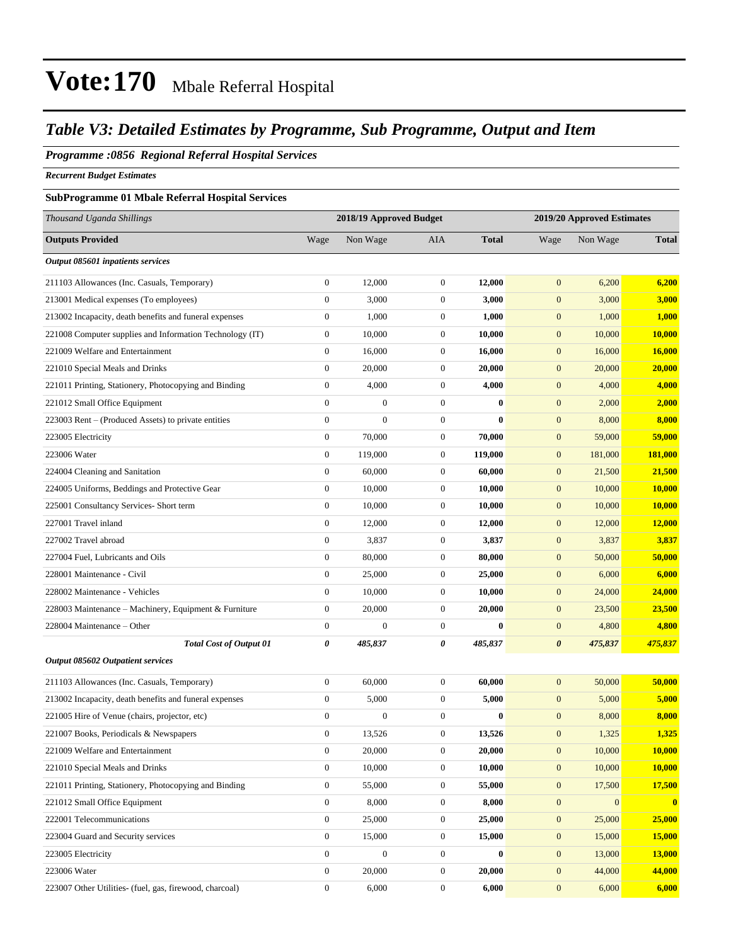### *Table V3: Detailed Estimates by Programme, Sub Programme, Output and Item*

#### *Programme :0856 Regional Referral Hospital Services*

*Recurrent Budget Estimates*

### **SubProgramme 01 Mbale Referral Hospital Services**

| Thousand Uganda Shillings                                |                  | 2018/19 Approved Budget |                  |              | 2019/20 Approved Estimates |              |                         |
|----------------------------------------------------------|------------------|-------------------------|------------------|--------------|----------------------------|--------------|-------------------------|
| <b>Outputs Provided</b>                                  | Wage             | Non Wage                | AIA              | <b>Total</b> | Wage                       | Non Wage     | <b>Total</b>            |
| Output 085601 inpatients services                        |                  |                         |                  |              |                            |              |                         |
| 211103 Allowances (Inc. Casuals, Temporary)              | $\boldsymbol{0}$ | 12,000                  | $\mathbf{0}$     | 12,000       | $\mathbf{0}$               | 6,200        | 6,200                   |
| 213001 Medical expenses (To employees)                   | $\boldsymbol{0}$ | 3,000                   | $\mathbf{0}$     | 3,000        | $\mathbf{0}$               | 3,000        | 3,000                   |
| 213002 Incapacity, death benefits and funeral expenses   | $\boldsymbol{0}$ | 1,000                   | $\mathbf{0}$     | 1,000        | $\boldsymbol{0}$           | 1,000        | 1,000                   |
| 221008 Computer supplies and Information Technology (IT) | $\boldsymbol{0}$ | 10,000                  | $\mathbf{0}$     | 10,000       | $\boldsymbol{0}$           | 10,000       | 10,000                  |
| 221009 Welfare and Entertainment                         | $\boldsymbol{0}$ | 16,000                  | $\mathbf{0}$     | 16,000       | $\boldsymbol{0}$           | 16,000       | 16,000                  |
| 221010 Special Meals and Drinks                          | $\boldsymbol{0}$ | 20,000                  | $\mathbf{0}$     | 20,000       | $\boldsymbol{0}$           | 20,000       | 20,000                  |
| 221011 Printing, Stationery, Photocopying and Binding    | $\boldsymbol{0}$ | 4,000                   | $\mathbf{0}$     | 4,000        | $\mathbf{0}$               | 4,000        | 4,000                   |
| 221012 Small Office Equipment                            | $\boldsymbol{0}$ | $\boldsymbol{0}$        | $\mathbf{0}$     | 0            | $\boldsymbol{0}$           | 2,000        | 2,000                   |
| 223003 Rent – (Produced Assets) to private entities      | $\boldsymbol{0}$ | $\mathbf{0}$            | $\boldsymbol{0}$ | $\bf{0}$     | $\boldsymbol{0}$           | 8,000        | 8,000                   |
| 223005 Electricity                                       | $\boldsymbol{0}$ | 70,000                  | $\mathbf{0}$     | 70,000       | $\mathbf{0}$               | 59,000       | 59,000                  |
| 223006 Water                                             | $\boldsymbol{0}$ | 119,000                 | $\mathbf{0}$     | 119,000      | $\boldsymbol{0}$           | 181,000      | 181,000                 |
| 224004 Cleaning and Sanitation                           | $\boldsymbol{0}$ | 60,000                  | $\mathbf{0}$     | 60,000       | $\mathbf{0}$               | 21,500       | 21,500                  |
| 224005 Uniforms, Beddings and Protective Gear            | $\boldsymbol{0}$ | 10,000                  | $\mathbf{0}$     | 10,000       | $\boldsymbol{0}$           | 10,000       | 10,000                  |
| 225001 Consultancy Services- Short term                  | $\boldsymbol{0}$ | 10.000                  | $\boldsymbol{0}$ | 10,000       | $\boldsymbol{0}$           | 10,000       | 10,000                  |
| 227001 Travel inland                                     | $\boldsymbol{0}$ | 12,000                  | $\mathbf{0}$     | 12,000       | $\mathbf{0}$               | 12,000       | 12,000                  |
| 227002 Travel abroad                                     | $\boldsymbol{0}$ | 3,837                   | $\mathbf{0}$     | 3,837        | $\boldsymbol{0}$           | 3,837        | 3,837                   |
| 227004 Fuel, Lubricants and Oils                         | $\boldsymbol{0}$ | 80,000                  | $\mathbf{0}$     | 80,000       | $\mathbf{0}$               | 50,000       | 50,000                  |
| 228001 Maintenance - Civil                               | $\boldsymbol{0}$ | 25,000                  | $\mathbf{0}$     | 25,000       | $\boldsymbol{0}$           | 6,000        | 6,000                   |
| 228002 Maintenance - Vehicles                            | $\boldsymbol{0}$ | 10,000                  | $\boldsymbol{0}$ | 10,000       | $\boldsymbol{0}$           | 24,000       | 24,000                  |
| 228003 Maintenance – Machinery, Equipment & Furniture    | $\boldsymbol{0}$ | 20,000                  | $\boldsymbol{0}$ | 20,000       | $\mathbf{0}$               | 23,500       | 23,500                  |
| 228004 Maintenance - Other                               | $\boldsymbol{0}$ | $\mathbf{0}$            | $\mathbf{0}$     | $\bf{0}$     | $\mathbf{0}$               | 4,800        | 4,800                   |
| <b>Total Cost of Output 01</b>                           | 0                | 485,837                 | 0                | 485,837      | $\boldsymbol{\theta}$      | 475,837      | 475,837                 |
| Output 085602 Outpatient services                        |                  |                         |                  |              |                            |              |                         |
| 211103 Allowances (Inc. Casuals, Temporary)              | $\boldsymbol{0}$ | 60,000                  | $\mathbf{0}$     | 60,000       | $\mathbf{0}$               | 50,000       | 50,000                  |
| 213002 Incapacity, death benefits and funeral expenses   | $\boldsymbol{0}$ | 5,000                   | $\mathbf{0}$     | 5,000        | $\mathbf{0}$               | 5,000        | 5,000                   |
| 221005 Hire of Venue (chairs, projector, etc)            | $\boldsymbol{0}$ | $\mathbf{0}$            | $\mathbf{0}$     | 0            | $\mathbf{0}$               | 8,000        | 8,000                   |
| 221007 Books, Periodicals & Newspapers                   | $\boldsymbol{0}$ | 13,526                  | $\boldsymbol{0}$ | 13,526       | $\boldsymbol{0}$           | 1,325        | 1,325                   |
| 221009 Welfare and Entertainment                         | $\boldsymbol{0}$ | 20,000                  | $\boldsymbol{0}$ | 20,000       | $\mathbf{0}$               | 10,000       | 10,000                  |
| 221010 Special Meals and Drinks                          | 0                | 10,000                  | $\mathbf{0}$     | 10,000       | $\mathbf{0}$               | 10,000       | 10,000                  |
| 221011 Printing, Stationery, Photocopying and Binding    | $\boldsymbol{0}$ | 55,000                  | $\boldsymbol{0}$ | 55,000       | $\mathbf{0}$               | 17,500       | 17,500                  |
| 221012 Small Office Equipment                            | $\boldsymbol{0}$ | 8,000                   | $\boldsymbol{0}$ | 8,000        | $\mathbf{0}$               | $\mathbf{0}$ | $\overline{\mathbf{0}}$ |
| 222001 Telecommunications                                | $\boldsymbol{0}$ | 25,000                  | $\boldsymbol{0}$ | 25,000       | $\mathbf{0}$               | 25,000       | 25,000                  |
| 223004 Guard and Security services                       | $\boldsymbol{0}$ | 15,000                  | $\boldsymbol{0}$ | 15,000       | $\mathbf{0}$               | 15,000       | 15,000                  |
| 223005 Electricity                                       | $\boldsymbol{0}$ | $\boldsymbol{0}$        | $\mathbf{0}$     | $\bf{0}$     | $\mathbf{0}$               | 13,000       | 13,000                  |
| 223006 Water                                             | $\boldsymbol{0}$ | 20,000                  | $\boldsymbol{0}$ | 20,000       | $\boldsymbol{0}$           | 44,000       | 44,000                  |
| 223007 Other Utilities- (fuel, gas, firewood, charcoal)  | $\boldsymbol{0}$ | 6,000                   | $\boldsymbol{0}$ | 6,000        | $\boldsymbol{0}$           | 6,000        | 6,000                   |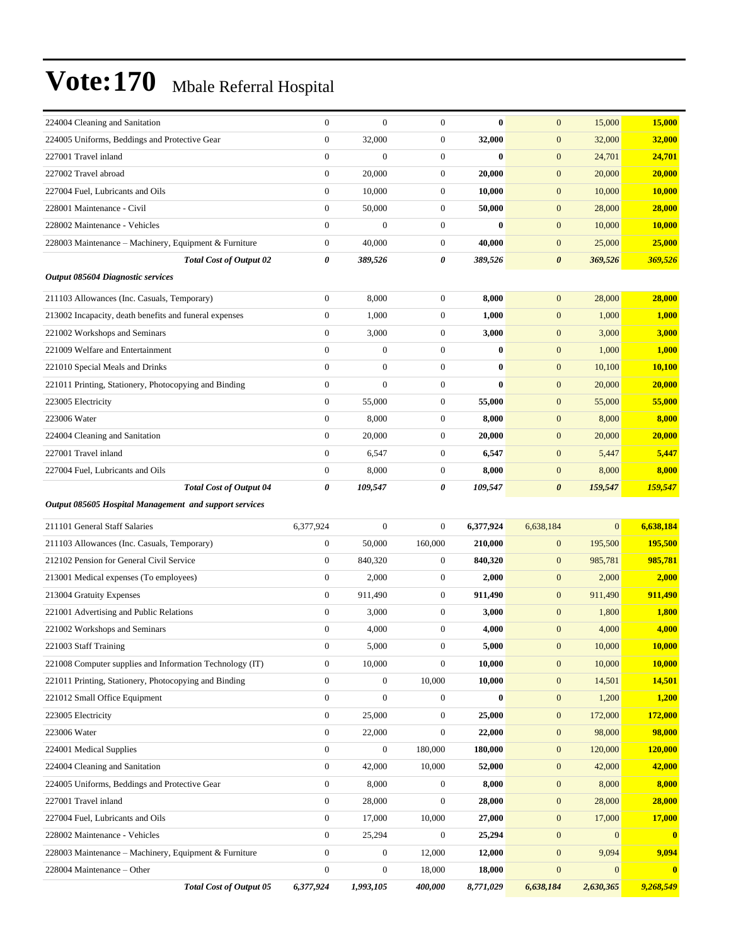| 15,000<br>$\boldsymbol{0}$<br>$\boldsymbol{0}$<br>$\bf{0}$<br>$\mathbf{0}$<br>15,000<br>224004 Cleaning and Sanitation<br>$\boldsymbol{0}$<br>$\boldsymbol{0}$<br>$\boldsymbol{0}$<br>224005 Uniforms, Beddings and Protective Gear<br>32,000<br>32,000<br>$\mathbf{0}$<br>32,000<br>32,000<br>227001 Travel inland<br>$\mathbf{0}$<br>$\mathbf{0}$<br>$\boldsymbol{0}$<br>$\bf{0}$<br>$\mathbf{0}$<br>24,701<br>24,701<br>$\boldsymbol{0}$<br>20,000<br>20,000<br>20,000<br>20,000<br>227002 Travel abroad<br>$\mathbf{0}$<br>$\mathbf{0}$<br>$\boldsymbol{0}$<br>10,000<br>$\boldsymbol{0}$<br>10,000<br>$\boldsymbol{0}$<br>10,000<br>10,000<br>227004 Fuel, Lubricants and Oils<br>228001 Maintenance - Civil<br>$\boldsymbol{0}$<br>50,000<br>50,000<br>$\mathbf{0}$<br>28,000<br>28,000<br>$\boldsymbol{0}$<br>$\mathbf{0}$<br>$\mathbf{0}$<br>$\boldsymbol{0}$<br>$\bf{0}$<br>$\boldsymbol{0}$<br>10,000<br>10,000<br>228002 Maintenance - Vehicles<br>25,000<br>228003 Maintenance - Machinery, Equipment & Furniture<br>$\boldsymbol{0}$<br>40,000<br>$\boldsymbol{0}$<br>40,000<br>$\mathbf{0}$<br>25,000<br>369,526<br><b>Total Cost of Output 02</b><br>0<br>389,526<br>0<br>389,526<br>$\boldsymbol{\theta}$<br>369,526<br>Output 085604 Diagnostic services<br>211103 Allowances (Inc. Casuals, Temporary)<br>$\boldsymbol{0}$<br>8,000<br>$\boldsymbol{0}$<br>8,000<br>$\mathbf{0}$<br>28,000<br>28,000<br>213002 Incapacity, death benefits and funeral expenses<br>$\boldsymbol{0}$<br>1,000<br>1,000<br>1,000<br>1,000<br>$\mathbf{0}$<br>$\mathbf{0}$<br>$\overline{0}$<br>221002 Workshops and Seminars<br>3,000<br>$\boldsymbol{0}$<br>3,000<br>$\boldsymbol{0}$<br>3,000<br>3,000<br>221009 Welfare and Entertainment<br>$\boldsymbol{0}$<br>$\boldsymbol{0}$<br>$\boldsymbol{0}$<br>$\bf{0}$<br>$\mathbf{0}$<br>1,000<br>1,000<br>$\boldsymbol{0}$<br>$\mathbf{0}$<br>$\bf{0}$<br>221010 Special Meals and Drinks<br>$\boldsymbol{0}$<br>$\mathbf{0}$<br>10,100<br>10,100<br>$\mathbf{0}$<br>$\bf{0}$<br>221011 Printing, Stationery, Photocopying and Binding<br>$\boldsymbol{0}$<br>$\boldsymbol{0}$<br>$\mathbf{0}$<br>20,000<br>20,000<br>223005 Electricity<br>$\boldsymbol{0}$<br>55,000<br>55,000<br>55,000<br>$\boldsymbol{0}$<br>55,000<br>$\mathbf{0}$<br>$\overline{0}$<br>$\boldsymbol{0}$<br>223006 Water<br>8,000<br>8,000<br>$\boldsymbol{0}$<br>8,000<br>8,000<br>$\boldsymbol{0}$<br>20,000<br>$\boldsymbol{0}$<br>20,000<br>$\mathbf{0}$<br>20,000<br>20,000<br>224004 Cleaning and Sanitation<br>$\boldsymbol{0}$<br>227001 Travel inland<br>$\boldsymbol{0}$<br>6,547<br>$\boldsymbol{0}$<br>5,447<br>6,547<br>5,447<br>$\boldsymbol{0}$<br>8,000<br>$\boldsymbol{0}$<br>8,000<br>$\boldsymbol{0}$<br>8,000<br>8,000<br>227004 Fuel, Lubricants and Oils<br>159,547<br><b>Total Cost of Output 04</b><br>109,547<br>0<br>109,547<br>159,547<br>0<br>$\boldsymbol{\theta}$<br>Output 085605 Hospital Management and support services<br>211101 General Staff Salaries<br>$\mathbf{0}$<br>$\overline{0}$<br>$\mathbf{0}$<br>6,638,184<br>6,377,924<br>6,377,924<br>6,638,184<br>195,500<br>$\boldsymbol{0}$<br>50,000<br>160,000<br>210,000<br>$\mathbf{0}$<br>195,500<br>211103 Allowances (Inc. Casuals, Temporary)<br>212102 Pension for General Civil Service<br>$\boldsymbol{0}$<br>840,320<br>$\mathbf{0}$<br>985,781<br>985,781<br>840,320<br>$\boldsymbol{0}$<br>$\boldsymbol{0}$<br>2,000<br>$\boldsymbol{0}$<br>2,000<br>$\mathbf{0}$<br>2,000<br>2,000<br>213001 Medical expenses (To employees)<br>911,490<br>213004 Gratuity Expenses<br>$\boldsymbol{0}$<br>911,490<br>911,490<br>911,490<br>$\mathbf{0}$<br>$\mathbf{0}$<br>$\boldsymbol{0}$<br>3,000<br>$\boldsymbol{0}$<br>3,000<br>$\boldsymbol{0}$<br>221001 Advertising and Public Relations<br>1,800<br><b>1,800</b><br>221002 Workshops and Seminars<br>$\mathbf{0}$<br>4,000<br>$\boldsymbol{0}$<br>4,000<br>$\mathbf{0}$<br>4,000<br>4,000<br>221003 Staff Training<br>$\boldsymbol{0}$<br>$\boldsymbol{0}$<br>5,000<br>$\boldsymbol{0}$<br>10,000<br>10,000<br>5,000<br>221008 Computer supplies and Information Technology (IT)<br>$\boldsymbol{0}$<br>10,000<br>$\boldsymbol{0}$<br>10,000<br>$\boldsymbol{0}$<br>10,000<br>10,000<br>221011 Printing, Stationery, Photocopying and Binding<br>$\boldsymbol{0}$<br>$\boldsymbol{0}$<br>10,000<br>10,000<br>$\mathbf{0}$<br>14,501<br>14,501<br>$\boldsymbol{0}$<br>$\boldsymbol{0}$<br>$\bf{0}$<br>221012 Small Office Equipment<br>$\boldsymbol{0}$<br>$\boldsymbol{0}$<br>1,200<br>1,200<br>223005 Electricity<br>$\mathbf{0}$<br>$\boldsymbol{0}$<br>25,000<br>172,000<br>172,000<br>25,000<br>$\mathbf{0}$<br>223006 Water<br>$\mathbf{0}$<br>$\boldsymbol{0}$<br>$\boldsymbol{0}$<br>98,000<br>98,000<br>22,000<br>22,000<br>224001 Medical Supplies<br>$\boldsymbol{0}$<br>$\boldsymbol{0}$<br>180,000<br>180,000<br>$\boldsymbol{0}$<br>120,000<br>120,000<br>42,000<br>224004 Cleaning and Sanitation<br>$\mathbf{0}$<br>10,000<br>42,000<br>42,000<br>52,000<br>$\mathbf{0}$<br>$\boldsymbol{0}$<br>224005 Uniforms, Beddings and Protective Gear<br>$\boldsymbol{0}$<br>$\boldsymbol{0}$<br>8,000<br>8,000<br>8,000<br>8,000<br>227001 Travel inland<br>$\boldsymbol{0}$<br>$\boldsymbol{0}$<br>28,000<br>28,000<br>28,000<br>28,000<br>$\mathbf{0}$<br>$\boldsymbol{0}$<br>17,000<br>10,000<br>$\boldsymbol{0}$<br>227004 Fuel, Lubricants and Oils<br>17,000<br>27,000<br>17,000<br>$\boldsymbol{0}$<br>25,294<br>$\boldsymbol{0}$<br>25,294<br>$\boldsymbol{0}$<br>228002 Maintenance - Vehicles<br>$\mathbf{0}$<br>$\bf{0}$<br>$\boldsymbol{0}$<br>$\mathbf{0}$<br>9,094<br>9,094<br>228003 Maintenance – Machinery, Equipment & Furniture<br>$\bf{0}$<br>12,000<br>12,000<br>$\boldsymbol{0}$<br>$\boldsymbol{0}$<br>18,000<br>$\boldsymbol{0}$<br>$\mathbf{0}$<br>228004 Maintenance – Other<br>18,000<br>$\bf{0}$ |  |  |  |  |
|--------------------------------------------------------------------------------------------------------------------------------------------------------------------------------------------------------------------------------------------------------------------------------------------------------------------------------------------------------------------------------------------------------------------------------------------------------------------------------------------------------------------------------------------------------------------------------------------------------------------------------------------------------------------------------------------------------------------------------------------------------------------------------------------------------------------------------------------------------------------------------------------------------------------------------------------------------------------------------------------------------------------------------------------------------------------------------------------------------------------------------------------------------------------------------------------------------------------------------------------------------------------------------------------------------------------------------------------------------------------------------------------------------------------------------------------------------------------------------------------------------------------------------------------------------------------------------------------------------------------------------------------------------------------------------------------------------------------------------------------------------------------------------------------------------------------------------------------------------------------------------------------------------------------------------------------------------------------------------------------------------------------------------------------------------------------------------------------------------------------------------------------------------------------------------------------------------------------------------------------------------------------------------------------------------------------------------------------------------------------------------------------------------------------------------------------------------------------------------------------------------------------------------------------------------------------------------------------------------------------------------------------------------------------------------------------------------------------------------------------------------------------------------------------------------------------------------------------------------------------------------------------------------------------------------------------------------------------------------------------------------------------------------------------------------------------------------------------------------------------------------------------------------------------------------------------------------------------------------------------------------------------------------------------------------------------------------------------------------------------------------------------------------------------------------------------------------------------------------------------------------------------------------------------------------------------------------------------------------------------------------------------------------------------------------------------------------------------------------------------------------------------------------------------------------------------------------------------------------------------------------------------------------------------------------------------------------------------------------------------------------------------------------------------------------------------------------------------------------------------------------------------------------------------------------------------------------------------------------------------------------------------------------------------------------------------------------------------------------------------------------------------------------------------------------------------------------------------------------------------------------------------------------------------------------------------------------------------------------------------------------------------------------------------------------------------------------------------------------------------------------------------------------------------------------------------------------------------------------------------------------------------------------------------------------------------------------------------------------------------------------------------------------------------------------------------------------------------------------------------------------------------------------------------------------------------------------------------------------------------------------------------------------------------------------------------------------------------------------------------------------------------------------------------------------------------------------------------------------------------------------------------------------------------------------------------------------------------------------------------------------------------------------------------------------------------------------------------------------------------------------------------------------------------------------------------------------------------------------------------------------------------------------|--|--|--|--|
|                                                                                                                                                                                                                                                                                                                                                                                                                                                                                                                                                                                                                                                                                                                                                                                                                                                                                                                                                                                                                                                                                                                                                                                                                                                                                                                                                                                                                                                                                                                                                                                                                                                                                                                                                                                                                                                                                                                                                                                                                                                                                                                                                                                                                                                                                                                                                                                                                                                                                                                                                                                                                                                                                                                                                                                                                                                                                                                                                                                                                                                                                                                                                                                                                                                                                                                                                                                                                                                                                                                                                                                                                                                                                                                                                                                                                                                                                                                                                                                                                                                                                                                                                                                                                                                                                                                                                                                                                                                                                                                                                                                                                                                                                                                                                                                                                                                                                                                                                                                                                                                                                                                                                                                                                                                                                                                                                                                                                                                                                                                                                                                                                                                                                                                                                                                                                                                                                                        |  |  |  |  |
|                                                                                                                                                                                                                                                                                                                                                                                                                                                                                                                                                                                                                                                                                                                                                                                                                                                                                                                                                                                                                                                                                                                                                                                                                                                                                                                                                                                                                                                                                                                                                                                                                                                                                                                                                                                                                                                                                                                                                                                                                                                                                                                                                                                                                                                                                                                                                                                                                                                                                                                                                                                                                                                                                                                                                                                                                                                                                                                                                                                                                                                                                                                                                                                                                                                                                                                                                                                                                                                                                                                                                                                                                                                                                                                                                                                                                                                                                                                                                                                                                                                                                                                                                                                                                                                                                                                                                                                                                                                                                                                                                                                                                                                                                                                                                                                                                                                                                                                                                                                                                                                                                                                                                                                                                                                                                                                                                                                                                                                                                                                                                                                                                                                                                                                                                                                                                                                                                                        |  |  |  |  |
|                                                                                                                                                                                                                                                                                                                                                                                                                                                                                                                                                                                                                                                                                                                                                                                                                                                                                                                                                                                                                                                                                                                                                                                                                                                                                                                                                                                                                                                                                                                                                                                                                                                                                                                                                                                                                                                                                                                                                                                                                                                                                                                                                                                                                                                                                                                                                                                                                                                                                                                                                                                                                                                                                                                                                                                                                                                                                                                                                                                                                                                                                                                                                                                                                                                                                                                                                                                                                                                                                                                                                                                                                                                                                                                                                                                                                                                                                                                                                                                                                                                                                                                                                                                                                                                                                                                                                                                                                                                                                                                                                                                                                                                                                                                                                                                                                                                                                                                                                                                                                                                                                                                                                                                                                                                                                                                                                                                                                                                                                                                                                                                                                                                                                                                                                                                                                                                                                                        |  |  |  |  |
|                                                                                                                                                                                                                                                                                                                                                                                                                                                                                                                                                                                                                                                                                                                                                                                                                                                                                                                                                                                                                                                                                                                                                                                                                                                                                                                                                                                                                                                                                                                                                                                                                                                                                                                                                                                                                                                                                                                                                                                                                                                                                                                                                                                                                                                                                                                                                                                                                                                                                                                                                                                                                                                                                                                                                                                                                                                                                                                                                                                                                                                                                                                                                                                                                                                                                                                                                                                                                                                                                                                                                                                                                                                                                                                                                                                                                                                                                                                                                                                                                                                                                                                                                                                                                                                                                                                                                                                                                                                                                                                                                                                                                                                                                                                                                                                                                                                                                                                                                                                                                                                                                                                                                                                                                                                                                                                                                                                                                                                                                                                                                                                                                                                                                                                                                                                                                                                                                                        |  |  |  |  |
|                                                                                                                                                                                                                                                                                                                                                                                                                                                                                                                                                                                                                                                                                                                                                                                                                                                                                                                                                                                                                                                                                                                                                                                                                                                                                                                                                                                                                                                                                                                                                                                                                                                                                                                                                                                                                                                                                                                                                                                                                                                                                                                                                                                                                                                                                                                                                                                                                                                                                                                                                                                                                                                                                                                                                                                                                                                                                                                                                                                                                                                                                                                                                                                                                                                                                                                                                                                                                                                                                                                                                                                                                                                                                                                                                                                                                                                                                                                                                                                                                                                                                                                                                                                                                                                                                                                                                                                                                                                                                                                                                                                                                                                                                                                                                                                                                                                                                                                                                                                                                                                                                                                                                                                                                                                                                                                                                                                                                                                                                                                                                                                                                                                                                                                                                                                                                                                                                                        |  |  |  |  |
|                                                                                                                                                                                                                                                                                                                                                                                                                                                                                                                                                                                                                                                                                                                                                                                                                                                                                                                                                                                                                                                                                                                                                                                                                                                                                                                                                                                                                                                                                                                                                                                                                                                                                                                                                                                                                                                                                                                                                                                                                                                                                                                                                                                                                                                                                                                                                                                                                                                                                                                                                                                                                                                                                                                                                                                                                                                                                                                                                                                                                                                                                                                                                                                                                                                                                                                                                                                                                                                                                                                                                                                                                                                                                                                                                                                                                                                                                                                                                                                                                                                                                                                                                                                                                                                                                                                                                                                                                                                                                                                                                                                                                                                                                                                                                                                                                                                                                                                                                                                                                                                                                                                                                                                                                                                                                                                                                                                                                                                                                                                                                                                                                                                                                                                                                                                                                                                                                                        |  |  |  |  |
|                                                                                                                                                                                                                                                                                                                                                                                                                                                                                                                                                                                                                                                                                                                                                                                                                                                                                                                                                                                                                                                                                                                                                                                                                                                                                                                                                                                                                                                                                                                                                                                                                                                                                                                                                                                                                                                                                                                                                                                                                                                                                                                                                                                                                                                                                                                                                                                                                                                                                                                                                                                                                                                                                                                                                                                                                                                                                                                                                                                                                                                                                                                                                                                                                                                                                                                                                                                                                                                                                                                                                                                                                                                                                                                                                                                                                                                                                                                                                                                                                                                                                                                                                                                                                                                                                                                                                                                                                                                                                                                                                                                                                                                                                                                                                                                                                                                                                                                                                                                                                                                                                                                                                                                                                                                                                                                                                                                                                                                                                                                                                                                                                                                                                                                                                                                                                                                                                                        |  |  |  |  |
|                                                                                                                                                                                                                                                                                                                                                                                                                                                                                                                                                                                                                                                                                                                                                                                                                                                                                                                                                                                                                                                                                                                                                                                                                                                                                                                                                                                                                                                                                                                                                                                                                                                                                                                                                                                                                                                                                                                                                                                                                                                                                                                                                                                                                                                                                                                                                                                                                                                                                                                                                                                                                                                                                                                                                                                                                                                                                                                                                                                                                                                                                                                                                                                                                                                                                                                                                                                                                                                                                                                                                                                                                                                                                                                                                                                                                                                                                                                                                                                                                                                                                                                                                                                                                                                                                                                                                                                                                                                                                                                                                                                                                                                                                                                                                                                                                                                                                                                                                                                                                                                                                                                                                                                                                                                                                                                                                                                                                                                                                                                                                                                                                                                                                                                                                                                                                                                                                                        |  |  |  |  |
|                                                                                                                                                                                                                                                                                                                                                                                                                                                                                                                                                                                                                                                                                                                                                                                                                                                                                                                                                                                                                                                                                                                                                                                                                                                                                                                                                                                                                                                                                                                                                                                                                                                                                                                                                                                                                                                                                                                                                                                                                                                                                                                                                                                                                                                                                                                                                                                                                                                                                                                                                                                                                                                                                                                                                                                                                                                                                                                                                                                                                                                                                                                                                                                                                                                                                                                                                                                                                                                                                                                                                                                                                                                                                                                                                                                                                                                                                                                                                                                                                                                                                                                                                                                                                                                                                                                                                                                                                                                                                                                                                                                                                                                                                                                                                                                                                                                                                                                                                                                                                                                                                                                                                                                                                                                                                                                                                                                                                                                                                                                                                                                                                                                                                                                                                                                                                                                                                                        |  |  |  |  |
|                                                                                                                                                                                                                                                                                                                                                                                                                                                                                                                                                                                                                                                                                                                                                                                                                                                                                                                                                                                                                                                                                                                                                                                                                                                                                                                                                                                                                                                                                                                                                                                                                                                                                                                                                                                                                                                                                                                                                                                                                                                                                                                                                                                                                                                                                                                                                                                                                                                                                                                                                                                                                                                                                                                                                                                                                                                                                                                                                                                                                                                                                                                                                                                                                                                                                                                                                                                                                                                                                                                                                                                                                                                                                                                                                                                                                                                                                                                                                                                                                                                                                                                                                                                                                                                                                                                                                                                                                                                                                                                                                                                                                                                                                                                                                                                                                                                                                                                                                                                                                                                                                                                                                                                                                                                                                                                                                                                                                                                                                                                                                                                                                                                                                                                                                                                                                                                                                                        |  |  |  |  |
|                                                                                                                                                                                                                                                                                                                                                                                                                                                                                                                                                                                                                                                                                                                                                                                                                                                                                                                                                                                                                                                                                                                                                                                                                                                                                                                                                                                                                                                                                                                                                                                                                                                                                                                                                                                                                                                                                                                                                                                                                                                                                                                                                                                                                                                                                                                                                                                                                                                                                                                                                                                                                                                                                                                                                                                                                                                                                                                                                                                                                                                                                                                                                                                                                                                                                                                                                                                                                                                                                                                                                                                                                                                                                                                                                                                                                                                                                                                                                                                                                                                                                                                                                                                                                                                                                                                                                                                                                                                                                                                                                                                                                                                                                                                                                                                                                                                                                                                                                                                                                                                                                                                                                                                                                                                                                                                                                                                                                                                                                                                                                                                                                                                                                                                                                                                                                                                                                                        |  |  |  |  |
|                                                                                                                                                                                                                                                                                                                                                                                                                                                                                                                                                                                                                                                                                                                                                                                                                                                                                                                                                                                                                                                                                                                                                                                                                                                                                                                                                                                                                                                                                                                                                                                                                                                                                                                                                                                                                                                                                                                                                                                                                                                                                                                                                                                                                                                                                                                                                                                                                                                                                                                                                                                                                                                                                                                                                                                                                                                                                                                                                                                                                                                                                                                                                                                                                                                                                                                                                                                                                                                                                                                                                                                                                                                                                                                                                                                                                                                                                                                                                                                                                                                                                                                                                                                                                                                                                                                                                                                                                                                                                                                                                                                                                                                                                                                                                                                                                                                                                                                                                                                                                                                                                                                                                                                                                                                                                                                                                                                                                                                                                                                                                                                                                                                                                                                                                                                                                                                                                                        |  |  |  |  |
|                                                                                                                                                                                                                                                                                                                                                                                                                                                                                                                                                                                                                                                                                                                                                                                                                                                                                                                                                                                                                                                                                                                                                                                                                                                                                                                                                                                                                                                                                                                                                                                                                                                                                                                                                                                                                                                                                                                                                                                                                                                                                                                                                                                                                                                                                                                                                                                                                                                                                                                                                                                                                                                                                                                                                                                                                                                                                                                                                                                                                                                                                                                                                                                                                                                                                                                                                                                                                                                                                                                                                                                                                                                                                                                                                                                                                                                                                                                                                                                                                                                                                                                                                                                                                                                                                                                                                                                                                                                                                                                                                                                                                                                                                                                                                                                                                                                                                                                                                                                                                                                                                                                                                                                                                                                                                                                                                                                                                                                                                                                                                                                                                                                                                                                                                                                                                                                                                                        |  |  |  |  |
|                                                                                                                                                                                                                                                                                                                                                                                                                                                                                                                                                                                                                                                                                                                                                                                                                                                                                                                                                                                                                                                                                                                                                                                                                                                                                                                                                                                                                                                                                                                                                                                                                                                                                                                                                                                                                                                                                                                                                                                                                                                                                                                                                                                                                                                                                                                                                                                                                                                                                                                                                                                                                                                                                                                                                                                                                                                                                                                                                                                                                                                                                                                                                                                                                                                                                                                                                                                                                                                                                                                                                                                                                                                                                                                                                                                                                                                                                                                                                                                                                                                                                                                                                                                                                                                                                                                                                                                                                                                                                                                                                                                                                                                                                                                                                                                                                                                                                                                                                                                                                                                                                                                                                                                                                                                                                                                                                                                                                                                                                                                                                                                                                                                                                                                                                                                                                                                                                                        |  |  |  |  |
|                                                                                                                                                                                                                                                                                                                                                                                                                                                                                                                                                                                                                                                                                                                                                                                                                                                                                                                                                                                                                                                                                                                                                                                                                                                                                                                                                                                                                                                                                                                                                                                                                                                                                                                                                                                                                                                                                                                                                                                                                                                                                                                                                                                                                                                                                                                                                                                                                                                                                                                                                                                                                                                                                                                                                                                                                                                                                                                                                                                                                                                                                                                                                                                                                                                                                                                                                                                                                                                                                                                                                                                                                                                                                                                                                                                                                                                                                                                                                                                                                                                                                                                                                                                                                                                                                                                                                                                                                                                                                                                                                                                                                                                                                                                                                                                                                                                                                                                                                                                                                                                                                                                                                                                                                                                                                                                                                                                                                                                                                                                                                                                                                                                                                                                                                                                                                                                                                                        |  |  |  |  |
|                                                                                                                                                                                                                                                                                                                                                                                                                                                                                                                                                                                                                                                                                                                                                                                                                                                                                                                                                                                                                                                                                                                                                                                                                                                                                                                                                                                                                                                                                                                                                                                                                                                                                                                                                                                                                                                                                                                                                                                                                                                                                                                                                                                                                                                                                                                                                                                                                                                                                                                                                                                                                                                                                                                                                                                                                                                                                                                                                                                                                                                                                                                                                                                                                                                                                                                                                                                                                                                                                                                                                                                                                                                                                                                                                                                                                                                                                                                                                                                                                                                                                                                                                                                                                                                                                                                                                                                                                                                                                                                                                                                                                                                                                                                                                                                                                                                                                                                                                                                                                                                                                                                                                                                                                                                                                                                                                                                                                                                                                                                                                                                                                                                                                                                                                                                                                                                                                                        |  |  |  |  |
|                                                                                                                                                                                                                                                                                                                                                                                                                                                                                                                                                                                                                                                                                                                                                                                                                                                                                                                                                                                                                                                                                                                                                                                                                                                                                                                                                                                                                                                                                                                                                                                                                                                                                                                                                                                                                                                                                                                                                                                                                                                                                                                                                                                                                                                                                                                                                                                                                                                                                                                                                                                                                                                                                                                                                                                                                                                                                                                                                                                                                                                                                                                                                                                                                                                                                                                                                                                                                                                                                                                                                                                                                                                                                                                                                                                                                                                                                                                                                                                                                                                                                                                                                                                                                                                                                                                                                                                                                                                                                                                                                                                                                                                                                                                                                                                                                                                                                                                                                                                                                                                                                                                                                                                                                                                                                                                                                                                                                                                                                                                                                                                                                                                                                                                                                                                                                                                                                                        |  |  |  |  |
|                                                                                                                                                                                                                                                                                                                                                                                                                                                                                                                                                                                                                                                                                                                                                                                                                                                                                                                                                                                                                                                                                                                                                                                                                                                                                                                                                                                                                                                                                                                                                                                                                                                                                                                                                                                                                                                                                                                                                                                                                                                                                                                                                                                                                                                                                                                                                                                                                                                                                                                                                                                                                                                                                                                                                                                                                                                                                                                                                                                                                                                                                                                                                                                                                                                                                                                                                                                                                                                                                                                                                                                                                                                                                                                                                                                                                                                                                                                                                                                                                                                                                                                                                                                                                                                                                                                                                                                                                                                                                                                                                                                                                                                                                                                                                                                                                                                                                                                                                                                                                                                                                                                                                                                                                                                                                                                                                                                                                                                                                                                                                                                                                                                                                                                                                                                                                                                                                                        |  |  |  |  |
|                                                                                                                                                                                                                                                                                                                                                                                                                                                                                                                                                                                                                                                                                                                                                                                                                                                                                                                                                                                                                                                                                                                                                                                                                                                                                                                                                                                                                                                                                                                                                                                                                                                                                                                                                                                                                                                                                                                                                                                                                                                                                                                                                                                                                                                                                                                                                                                                                                                                                                                                                                                                                                                                                                                                                                                                                                                                                                                                                                                                                                                                                                                                                                                                                                                                                                                                                                                                                                                                                                                                                                                                                                                                                                                                                                                                                                                                                                                                                                                                                                                                                                                                                                                                                                                                                                                                                                                                                                                                                                                                                                                                                                                                                                                                                                                                                                                                                                                                                                                                                                                                                                                                                                                                                                                                                                                                                                                                                                                                                                                                                                                                                                                                                                                                                                                                                                                                                                        |  |  |  |  |
|                                                                                                                                                                                                                                                                                                                                                                                                                                                                                                                                                                                                                                                                                                                                                                                                                                                                                                                                                                                                                                                                                                                                                                                                                                                                                                                                                                                                                                                                                                                                                                                                                                                                                                                                                                                                                                                                                                                                                                                                                                                                                                                                                                                                                                                                                                                                                                                                                                                                                                                                                                                                                                                                                                                                                                                                                                                                                                                                                                                                                                                                                                                                                                                                                                                                                                                                                                                                                                                                                                                                                                                                                                                                                                                                                                                                                                                                                                                                                                                                                                                                                                                                                                                                                                                                                                                                                                                                                                                                                                                                                                                                                                                                                                                                                                                                                                                                                                                                                                                                                                                                                                                                                                                                                                                                                                                                                                                                                                                                                                                                                                                                                                                                                                                                                                                                                                                                                                        |  |  |  |  |
|                                                                                                                                                                                                                                                                                                                                                                                                                                                                                                                                                                                                                                                                                                                                                                                                                                                                                                                                                                                                                                                                                                                                                                                                                                                                                                                                                                                                                                                                                                                                                                                                                                                                                                                                                                                                                                                                                                                                                                                                                                                                                                                                                                                                                                                                                                                                                                                                                                                                                                                                                                                                                                                                                                                                                                                                                                                                                                                                                                                                                                                                                                                                                                                                                                                                                                                                                                                                                                                                                                                                                                                                                                                                                                                                                                                                                                                                                                                                                                                                                                                                                                                                                                                                                                                                                                                                                                                                                                                                                                                                                                                                                                                                                                                                                                                                                                                                                                                                                                                                                                                                                                                                                                                                                                                                                                                                                                                                                                                                                                                                                                                                                                                                                                                                                                                                                                                                                                        |  |  |  |  |
|                                                                                                                                                                                                                                                                                                                                                                                                                                                                                                                                                                                                                                                                                                                                                                                                                                                                                                                                                                                                                                                                                                                                                                                                                                                                                                                                                                                                                                                                                                                                                                                                                                                                                                                                                                                                                                                                                                                                                                                                                                                                                                                                                                                                                                                                                                                                                                                                                                                                                                                                                                                                                                                                                                                                                                                                                                                                                                                                                                                                                                                                                                                                                                                                                                                                                                                                                                                                                                                                                                                                                                                                                                                                                                                                                                                                                                                                                                                                                                                                                                                                                                                                                                                                                                                                                                                                                                                                                                                                                                                                                                                                                                                                                                                                                                                                                                                                                                                                                                                                                                                                                                                                                                                                                                                                                                                                                                                                                                                                                                                                                                                                                                                                                                                                                                                                                                                                                                        |  |  |  |  |
|                                                                                                                                                                                                                                                                                                                                                                                                                                                                                                                                                                                                                                                                                                                                                                                                                                                                                                                                                                                                                                                                                                                                                                                                                                                                                                                                                                                                                                                                                                                                                                                                                                                                                                                                                                                                                                                                                                                                                                                                                                                                                                                                                                                                                                                                                                                                                                                                                                                                                                                                                                                                                                                                                                                                                                                                                                                                                                                                                                                                                                                                                                                                                                                                                                                                                                                                                                                                                                                                                                                                                                                                                                                                                                                                                                                                                                                                                                                                                                                                                                                                                                                                                                                                                                                                                                                                                                                                                                                                                                                                                                                                                                                                                                                                                                                                                                                                                                                                                                                                                                                                                                                                                                                                                                                                                                                                                                                                                                                                                                                                                                                                                                                                                                                                                                                                                                                                                                        |  |  |  |  |
|                                                                                                                                                                                                                                                                                                                                                                                                                                                                                                                                                                                                                                                                                                                                                                                                                                                                                                                                                                                                                                                                                                                                                                                                                                                                                                                                                                                                                                                                                                                                                                                                                                                                                                                                                                                                                                                                                                                                                                                                                                                                                                                                                                                                                                                                                                                                                                                                                                                                                                                                                                                                                                                                                                                                                                                                                                                                                                                                                                                                                                                                                                                                                                                                                                                                                                                                                                                                                                                                                                                                                                                                                                                                                                                                                                                                                                                                                                                                                                                                                                                                                                                                                                                                                                                                                                                                                                                                                                                                                                                                                                                                                                                                                                                                                                                                                                                                                                                                                                                                                                                                                                                                                                                                                                                                                                                                                                                                                                                                                                                                                                                                                                                                                                                                                                                                                                                                                                        |  |  |  |  |
|                                                                                                                                                                                                                                                                                                                                                                                                                                                                                                                                                                                                                                                                                                                                                                                                                                                                                                                                                                                                                                                                                                                                                                                                                                                                                                                                                                                                                                                                                                                                                                                                                                                                                                                                                                                                                                                                                                                                                                                                                                                                                                                                                                                                                                                                                                                                                                                                                                                                                                                                                                                                                                                                                                                                                                                                                                                                                                                                                                                                                                                                                                                                                                                                                                                                                                                                                                                                                                                                                                                                                                                                                                                                                                                                                                                                                                                                                                                                                                                                                                                                                                                                                                                                                                                                                                                                                                                                                                                                                                                                                                                                                                                                                                                                                                                                                                                                                                                                                                                                                                                                                                                                                                                                                                                                                                                                                                                                                                                                                                                                                                                                                                                                                                                                                                                                                                                                                                        |  |  |  |  |
|                                                                                                                                                                                                                                                                                                                                                                                                                                                                                                                                                                                                                                                                                                                                                                                                                                                                                                                                                                                                                                                                                                                                                                                                                                                                                                                                                                                                                                                                                                                                                                                                                                                                                                                                                                                                                                                                                                                                                                                                                                                                                                                                                                                                                                                                                                                                                                                                                                                                                                                                                                                                                                                                                                                                                                                                                                                                                                                                                                                                                                                                                                                                                                                                                                                                                                                                                                                                                                                                                                                                                                                                                                                                                                                                                                                                                                                                                                                                                                                                                                                                                                                                                                                                                                                                                                                                                                                                                                                                                                                                                                                                                                                                                                                                                                                                                                                                                                                                                                                                                                                                                                                                                                                                                                                                                                                                                                                                                                                                                                                                                                                                                                                                                                                                                                                                                                                                                                        |  |  |  |  |
|                                                                                                                                                                                                                                                                                                                                                                                                                                                                                                                                                                                                                                                                                                                                                                                                                                                                                                                                                                                                                                                                                                                                                                                                                                                                                                                                                                                                                                                                                                                                                                                                                                                                                                                                                                                                                                                                                                                                                                                                                                                                                                                                                                                                                                                                                                                                                                                                                                                                                                                                                                                                                                                                                                                                                                                                                                                                                                                                                                                                                                                                                                                                                                                                                                                                                                                                                                                                                                                                                                                                                                                                                                                                                                                                                                                                                                                                                                                                                                                                                                                                                                                                                                                                                                                                                                                                                                                                                                                                                                                                                                                                                                                                                                                                                                                                                                                                                                                                                                                                                                                                                                                                                                                                                                                                                                                                                                                                                                                                                                                                                                                                                                                                                                                                                                                                                                                                                                        |  |  |  |  |
|                                                                                                                                                                                                                                                                                                                                                                                                                                                                                                                                                                                                                                                                                                                                                                                                                                                                                                                                                                                                                                                                                                                                                                                                                                                                                                                                                                                                                                                                                                                                                                                                                                                                                                                                                                                                                                                                                                                                                                                                                                                                                                                                                                                                                                                                                                                                                                                                                                                                                                                                                                                                                                                                                                                                                                                                                                                                                                                                                                                                                                                                                                                                                                                                                                                                                                                                                                                                                                                                                                                                                                                                                                                                                                                                                                                                                                                                                                                                                                                                                                                                                                                                                                                                                                                                                                                                                                                                                                                                                                                                                                                                                                                                                                                                                                                                                                                                                                                                                                                                                                                                                                                                                                                                                                                                                                                                                                                                                                                                                                                                                                                                                                                                                                                                                                                                                                                                                                        |  |  |  |  |
|                                                                                                                                                                                                                                                                                                                                                                                                                                                                                                                                                                                                                                                                                                                                                                                                                                                                                                                                                                                                                                                                                                                                                                                                                                                                                                                                                                                                                                                                                                                                                                                                                                                                                                                                                                                                                                                                                                                                                                                                                                                                                                                                                                                                                                                                                                                                                                                                                                                                                                                                                                                                                                                                                                                                                                                                                                                                                                                                                                                                                                                                                                                                                                                                                                                                                                                                                                                                                                                                                                                                                                                                                                                                                                                                                                                                                                                                                                                                                                                                                                                                                                                                                                                                                                                                                                                                                                                                                                                                                                                                                                                                                                                                                                                                                                                                                                                                                                                                                                                                                                                                                                                                                                                                                                                                                                                                                                                                                                                                                                                                                                                                                                                                                                                                                                                                                                                                                                        |  |  |  |  |
|                                                                                                                                                                                                                                                                                                                                                                                                                                                                                                                                                                                                                                                                                                                                                                                                                                                                                                                                                                                                                                                                                                                                                                                                                                                                                                                                                                                                                                                                                                                                                                                                                                                                                                                                                                                                                                                                                                                                                                                                                                                                                                                                                                                                                                                                                                                                                                                                                                                                                                                                                                                                                                                                                                                                                                                                                                                                                                                                                                                                                                                                                                                                                                                                                                                                                                                                                                                                                                                                                                                                                                                                                                                                                                                                                                                                                                                                                                                                                                                                                                                                                                                                                                                                                                                                                                                                                                                                                                                                                                                                                                                                                                                                                                                                                                                                                                                                                                                                                                                                                                                                                                                                                                                                                                                                                                                                                                                                                                                                                                                                                                                                                                                                                                                                                                                                                                                                                                        |  |  |  |  |
|                                                                                                                                                                                                                                                                                                                                                                                                                                                                                                                                                                                                                                                                                                                                                                                                                                                                                                                                                                                                                                                                                                                                                                                                                                                                                                                                                                                                                                                                                                                                                                                                                                                                                                                                                                                                                                                                                                                                                                                                                                                                                                                                                                                                                                                                                                                                                                                                                                                                                                                                                                                                                                                                                                                                                                                                                                                                                                                                                                                                                                                                                                                                                                                                                                                                                                                                                                                                                                                                                                                                                                                                                                                                                                                                                                                                                                                                                                                                                                                                                                                                                                                                                                                                                                                                                                                                                                                                                                                                                                                                                                                                                                                                                                                                                                                                                                                                                                                                                                                                                                                                                                                                                                                                                                                                                                                                                                                                                                                                                                                                                                                                                                                                                                                                                                                                                                                                                                        |  |  |  |  |
|                                                                                                                                                                                                                                                                                                                                                                                                                                                                                                                                                                                                                                                                                                                                                                                                                                                                                                                                                                                                                                                                                                                                                                                                                                                                                                                                                                                                                                                                                                                                                                                                                                                                                                                                                                                                                                                                                                                                                                                                                                                                                                                                                                                                                                                                                                                                                                                                                                                                                                                                                                                                                                                                                                                                                                                                                                                                                                                                                                                                                                                                                                                                                                                                                                                                                                                                                                                                                                                                                                                                                                                                                                                                                                                                                                                                                                                                                                                                                                                                                                                                                                                                                                                                                                                                                                                                                                                                                                                                                                                                                                                                                                                                                                                                                                                                                                                                                                                                                                                                                                                                                                                                                                                                                                                                                                                                                                                                                                                                                                                                                                                                                                                                                                                                                                                                                                                                                                        |  |  |  |  |
|                                                                                                                                                                                                                                                                                                                                                                                                                                                                                                                                                                                                                                                                                                                                                                                                                                                                                                                                                                                                                                                                                                                                                                                                                                                                                                                                                                                                                                                                                                                                                                                                                                                                                                                                                                                                                                                                                                                                                                                                                                                                                                                                                                                                                                                                                                                                                                                                                                                                                                                                                                                                                                                                                                                                                                                                                                                                                                                                                                                                                                                                                                                                                                                                                                                                                                                                                                                                                                                                                                                                                                                                                                                                                                                                                                                                                                                                                                                                                                                                                                                                                                                                                                                                                                                                                                                                                                                                                                                                                                                                                                                                                                                                                                                                                                                                                                                                                                                                                                                                                                                                                                                                                                                                                                                                                                                                                                                                                                                                                                                                                                                                                                                                                                                                                                                                                                                                                                        |  |  |  |  |
|                                                                                                                                                                                                                                                                                                                                                                                                                                                                                                                                                                                                                                                                                                                                                                                                                                                                                                                                                                                                                                                                                                                                                                                                                                                                                                                                                                                                                                                                                                                                                                                                                                                                                                                                                                                                                                                                                                                                                                                                                                                                                                                                                                                                                                                                                                                                                                                                                                                                                                                                                                                                                                                                                                                                                                                                                                                                                                                                                                                                                                                                                                                                                                                                                                                                                                                                                                                                                                                                                                                                                                                                                                                                                                                                                                                                                                                                                                                                                                                                                                                                                                                                                                                                                                                                                                                                                                                                                                                                                                                                                                                                                                                                                                                                                                                                                                                                                                                                                                                                                                                                                                                                                                                                                                                                                                                                                                                                                                                                                                                                                                                                                                                                                                                                                                                                                                                                                                        |  |  |  |  |
|                                                                                                                                                                                                                                                                                                                                                                                                                                                                                                                                                                                                                                                                                                                                                                                                                                                                                                                                                                                                                                                                                                                                                                                                                                                                                                                                                                                                                                                                                                                                                                                                                                                                                                                                                                                                                                                                                                                                                                                                                                                                                                                                                                                                                                                                                                                                                                                                                                                                                                                                                                                                                                                                                                                                                                                                                                                                                                                                                                                                                                                                                                                                                                                                                                                                                                                                                                                                                                                                                                                                                                                                                                                                                                                                                                                                                                                                                                                                                                                                                                                                                                                                                                                                                                                                                                                                                                                                                                                                                                                                                                                                                                                                                                                                                                                                                                                                                                                                                                                                                                                                                                                                                                                                                                                                                                                                                                                                                                                                                                                                                                                                                                                                                                                                                                                                                                                                                                        |  |  |  |  |
|                                                                                                                                                                                                                                                                                                                                                                                                                                                                                                                                                                                                                                                                                                                                                                                                                                                                                                                                                                                                                                                                                                                                                                                                                                                                                                                                                                                                                                                                                                                                                                                                                                                                                                                                                                                                                                                                                                                                                                                                                                                                                                                                                                                                                                                                                                                                                                                                                                                                                                                                                                                                                                                                                                                                                                                                                                                                                                                                                                                                                                                                                                                                                                                                                                                                                                                                                                                                                                                                                                                                                                                                                                                                                                                                                                                                                                                                                                                                                                                                                                                                                                                                                                                                                                                                                                                                                                                                                                                                                                                                                                                                                                                                                                                                                                                                                                                                                                                                                                                                                                                                                                                                                                                                                                                                                                                                                                                                                                                                                                                                                                                                                                                                                                                                                                                                                                                                                                        |  |  |  |  |
|                                                                                                                                                                                                                                                                                                                                                                                                                                                                                                                                                                                                                                                                                                                                                                                                                                                                                                                                                                                                                                                                                                                                                                                                                                                                                                                                                                                                                                                                                                                                                                                                                                                                                                                                                                                                                                                                                                                                                                                                                                                                                                                                                                                                                                                                                                                                                                                                                                                                                                                                                                                                                                                                                                                                                                                                                                                                                                                                                                                                                                                                                                                                                                                                                                                                                                                                                                                                                                                                                                                                                                                                                                                                                                                                                                                                                                                                                                                                                                                                                                                                                                                                                                                                                                                                                                                                                                                                                                                                                                                                                                                                                                                                                                                                                                                                                                                                                                                                                                                                                                                                                                                                                                                                                                                                                                                                                                                                                                                                                                                                                                                                                                                                                                                                                                                                                                                                                                        |  |  |  |  |
|                                                                                                                                                                                                                                                                                                                                                                                                                                                                                                                                                                                                                                                                                                                                                                                                                                                                                                                                                                                                                                                                                                                                                                                                                                                                                                                                                                                                                                                                                                                                                                                                                                                                                                                                                                                                                                                                                                                                                                                                                                                                                                                                                                                                                                                                                                                                                                                                                                                                                                                                                                                                                                                                                                                                                                                                                                                                                                                                                                                                                                                                                                                                                                                                                                                                                                                                                                                                                                                                                                                                                                                                                                                                                                                                                                                                                                                                                                                                                                                                                                                                                                                                                                                                                                                                                                                                                                                                                                                                                                                                                                                                                                                                                                                                                                                                                                                                                                                                                                                                                                                                                                                                                                                                                                                                                                                                                                                                                                                                                                                                                                                                                                                                                                                                                                                                                                                                                                        |  |  |  |  |
|                                                                                                                                                                                                                                                                                                                                                                                                                                                                                                                                                                                                                                                                                                                                                                                                                                                                                                                                                                                                                                                                                                                                                                                                                                                                                                                                                                                                                                                                                                                                                                                                                                                                                                                                                                                                                                                                                                                                                                                                                                                                                                                                                                                                                                                                                                                                                                                                                                                                                                                                                                                                                                                                                                                                                                                                                                                                                                                                                                                                                                                                                                                                                                                                                                                                                                                                                                                                                                                                                                                                                                                                                                                                                                                                                                                                                                                                                                                                                                                                                                                                                                                                                                                                                                                                                                                                                                                                                                                                                                                                                                                                                                                                                                                                                                                                                                                                                                                                                                                                                                                                                                                                                                                                                                                                                                                                                                                                                                                                                                                                                                                                                                                                                                                                                                                                                                                                                                        |  |  |  |  |
|                                                                                                                                                                                                                                                                                                                                                                                                                                                                                                                                                                                                                                                                                                                                                                                                                                                                                                                                                                                                                                                                                                                                                                                                                                                                                                                                                                                                                                                                                                                                                                                                                                                                                                                                                                                                                                                                                                                                                                                                                                                                                                                                                                                                                                                                                                                                                                                                                                                                                                                                                                                                                                                                                                                                                                                                                                                                                                                                                                                                                                                                                                                                                                                                                                                                                                                                                                                                                                                                                                                                                                                                                                                                                                                                                                                                                                                                                                                                                                                                                                                                                                                                                                                                                                                                                                                                                                                                                                                                                                                                                                                                                                                                                                                                                                                                                                                                                                                                                                                                                                                                                                                                                                                                                                                                                                                                                                                                                                                                                                                                                                                                                                                                                                                                                                                                                                                                                                        |  |  |  |  |
|                                                                                                                                                                                                                                                                                                                                                                                                                                                                                                                                                                                                                                                                                                                                                                                                                                                                                                                                                                                                                                                                                                                                                                                                                                                                                                                                                                                                                                                                                                                                                                                                                                                                                                                                                                                                                                                                                                                                                                                                                                                                                                                                                                                                                                                                                                                                                                                                                                                                                                                                                                                                                                                                                                                                                                                                                                                                                                                                                                                                                                                                                                                                                                                                                                                                                                                                                                                                                                                                                                                                                                                                                                                                                                                                                                                                                                                                                                                                                                                                                                                                                                                                                                                                                                                                                                                                                                                                                                                                                                                                                                                                                                                                                                                                                                                                                                                                                                                                                                                                                                                                                                                                                                                                                                                                                                                                                                                                                                                                                                                                                                                                                                                                                                                                                                                                                                                                                                        |  |  |  |  |
|                                                                                                                                                                                                                                                                                                                                                                                                                                                                                                                                                                                                                                                                                                                                                                                                                                                                                                                                                                                                                                                                                                                                                                                                                                                                                                                                                                                                                                                                                                                                                                                                                                                                                                                                                                                                                                                                                                                                                                                                                                                                                                                                                                                                                                                                                                                                                                                                                                                                                                                                                                                                                                                                                                                                                                                                                                                                                                                                                                                                                                                                                                                                                                                                                                                                                                                                                                                                                                                                                                                                                                                                                                                                                                                                                                                                                                                                                                                                                                                                                                                                                                                                                                                                                                                                                                                                                                                                                                                                                                                                                                                                                                                                                                                                                                                                                                                                                                                                                                                                                                                                                                                                                                                                                                                                                                                                                                                                                                                                                                                                                                                                                                                                                                                                                                                                                                                                                                        |  |  |  |  |
|                                                                                                                                                                                                                                                                                                                                                                                                                                                                                                                                                                                                                                                                                                                                                                                                                                                                                                                                                                                                                                                                                                                                                                                                                                                                                                                                                                                                                                                                                                                                                                                                                                                                                                                                                                                                                                                                                                                                                                                                                                                                                                                                                                                                                                                                                                                                                                                                                                                                                                                                                                                                                                                                                                                                                                                                                                                                                                                                                                                                                                                                                                                                                                                                                                                                                                                                                                                                                                                                                                                                                                                                                                                                                                                                                                                                                                                                                                                                                                                                                                                                                                                                                                                                                                                                                                                                                                                                                                                                                                                                                                                                                                                                                                                                                                                                                                                                                                                                                                                                                                                                                                                                                                                                                                                                                                                                                                                                                                                                                                                                                                                                                                                                                                                                                                                                                                                                                                        |  |  |  |  |
|                                                                                                                                                                                                                                                                                                                                                                                                                                                                                                                                                                                                                                                                                                                                                                                                                                                                                                                                                                                                                                                                                                                                                                                                                                                                                                                                                                                                                                                                                                                                                                                                                                                                                                                                                                                                                                                                                                                                                                                                                                                                                                                                                                                                                                                                                                                                                                                                                                                                                                                                                                                                                                                                                                                                                                                                                                                                                                                                                                                                                                                                                                                                                                                                                                                                                                                                                                                                                                                                                                                                                                                                                                                                                                                                                                                                                                                                                                                                                                                                                                                                                                                                                                                                                                                                                                                                                                                                                                                                                                                                                                                                                                                                                                                                                                                                                                                                                                                                                                                                                                                                                                                                                                                                                                                                                                                                                                                                                                                                                                                                                                                                                                                                                                                                                                                                                                                                                                        |  |  |  |  |
| Total Cost of Output 05<br>400,000<br>9,268,549<br>6,377,924<br>1,993,105<br>8,771,029<br>6,638,184<br>2,630,365                                                                                                                                                                                                                                                                                                                                                                                                                                                                                                                                                                                                                                                                                                                                                                                                                                                                                                                                                                                                                                                                                                                                                                                                                                                                                                                                                                                                                                                                                                                                                                                                                                                                                                                                                                                                                                                                                                                                                                                                                                                                                                                                                                                                                                                                                                                                                                                                                                                                                                                                                                                                                                                                                                                                                                                                                                                                                                                                                                                                                                                                                                                                                                                                                                                                                                                                                                                                                                                                                                                                                                                                                                                                                                                                                                                                                                                                                                                                                                                                                                                                                                                                                                                                                                                                                                                                                                                                                                                                                                                                                                                                                                                                                                                                                                                                                                                                                                                                                                                                                                                                                                                                                                                                                                                                                                                                                                                                                                                                                                                                                                                                                                                                                                                                                                                       |  |  |  |  |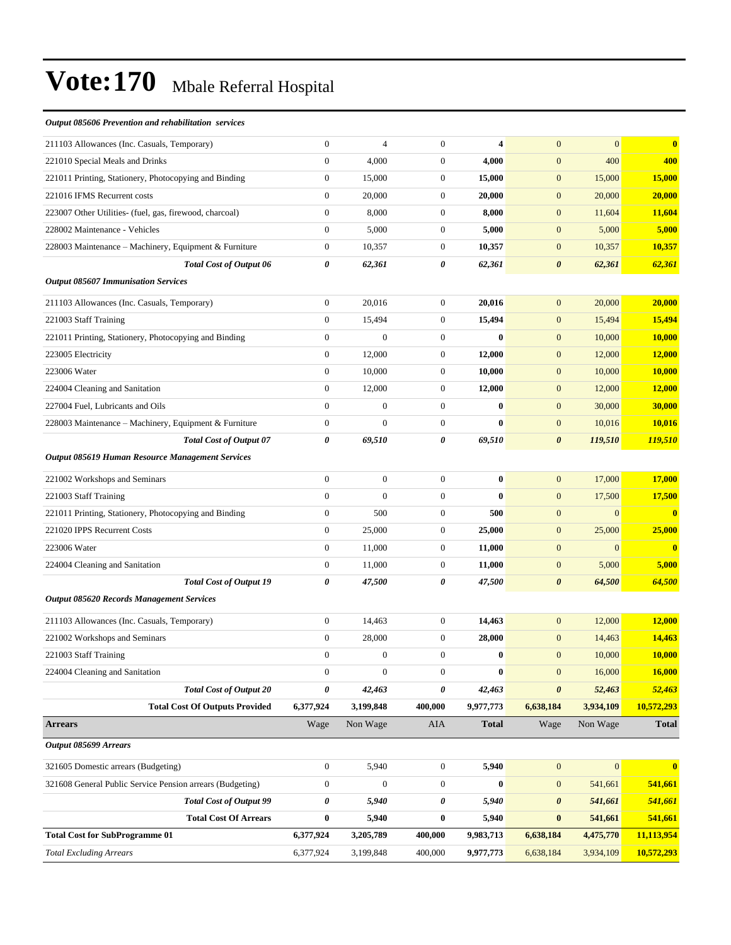#### *Output 085606 Prevention and rehabilitation services*

| <b>Total Excluding Arrears</b>                                                           | 6,377,924                            | 3,199,848        | 400,000                          | 9,977,773           | 6,638,184                            | 3,934,109      | 10,572,293              |
|------------------------------------------------------------------------------------------|--------------------------------------|------------------|----------------------------------|---------------------|--------------------------------------|----------------|-------------------------|
| <b>Total Cost for SubProgramme 01</b>                                                    | 6,377,924                            | 3,205,789        | 400,000                          | 9,983,713           | 6,638,184                            | 4,475,770      | 11,113,954              |
| <b>Total Cost Of Arrears</b>                                                             | $\bf{0}$                             | 5,940            | $\bf{0}$                         | 5,940               | $\bf{0}$                             | 541,661        | 541,661                 |
| <b>Total Cost of Output 99</b>                                                           | 0                                    | 5,940            | 0                                | 5,940               | $\boldsymbol{\theta}$                | 541,661        | 541,661                 |
| 321608 General Public Service Pension arrears (Budgeting)                                | $\boldsymbol{0}$                     | $\boldsymbol{0}$ | $\boldsymbol{0}$                 | $\bf{0}$            | $\mathbf{0}$                         | 541,661        | 541,661                 |
| 321605 Domestic arrears (Budgeting)                                                      | $\boldsymbol{0}$                     | 5,940            | $\boldsymbol{0}$                 | 5,940               | $\mathbf{0}$                         | $\mathbf{0}$   | $\bf{0}$                |
| Output 085699 Arrears                                                                    |                                      |                  |                                  |                     |                                      |                |                         |
| <b>Arrears</b>                                                                           | Wage                                 | Non Wage         | AIA                              | <b>Total</b>        | Wage                                 | Non Wage       | <b>Total</b>            |
| <b>Total Cost Of Outputs Provided</b>                                                    | 6,377,924                            | 3,199,848        | 400,000                          | 9,977,773           | 6,638,184                            | 3,934,109      | 10,572,293              |
| <b>Total Cost of Output 20</b>                                                           | 0                                    | 42,463           | 0                                | 42,463              | $\boldsymbol{\theta}$                | 52,463         | 52,463                  |
| 224004 Cleaning and Sanitation                                                           | $\boldsymbol{0}$                     | $\boldsymbol{0}$ | $\boldsymbol{0}$                 | $\boldsymbol{0}$    | $\boldsymbol{0}$                     | 16,000         | 16,000                  |
| 221003 Staff Training                                                                    | $\boldsymbol{0}$                     | $\boldsymbol{0}$ | $\mathbf{0}$                     | $\bf{0}$            | $\mathbf{0}$                         | 10,000         | 10,000                  |
| 221002 Workshops and Seminars                                                            | $\boldsymbol{0}$                     | 28,000           | $\boldsymbol{0}$                 | 28,000              | $\mathbf{0}$                         | 14,463         | 14,463                  |
| 211103 Allowances (Inc. Casuals, Temporary)                                              | $\boldsymbol{0}$                     | 14,463           | $\boldsymbol{0}$                 | 14,463              | $\mathbf{0}$                         | 12,000         | 12,000                  |
| Output 085620 Records Management Services                                                |                                      |                  |                                  |                     |                                      |                |                         |
| <b>Total Cost of Output 19</b>                                                           | 0                                    | 47,500           | 0                                | 47,500              | $\boldsymbol{\theta}$                | 64,500         | 64,500                  |
| 224004 Cleaning and Sanitation                                                           | $\boldsymbol{0}$                     | 11,000           | $\mathbf{0}$                     | 11,000              | $\boldsymbol{0}$                     | 5,000          | 5,000                   |
| 223006 Water                                                                             | $\mathbf{0}$                         | 11,000           | $\boldsymbol{0}$                 | 11,000              | $\mathbf{0}$                         | $\mathbf{0}$   | $\bf{0}$                |
| 221020 IPPS Recurrent Costs                                                              | $\boldsymbol{0}$                     | 25,000           | $\mathbf{0}$                     | 25,000              | $\mathbf{0}$                         | 25,000         | 25,000                  |
| 221011 Printing, Stationery, Photocopying and Binding                                    | $\boldsymbol{0}$                     | 500              | $\mathbf{0}$                     | 500                 | $\mathbf{0}$                         | $\overline{0}$ | $\mathbf{0}$            |
| 221003 Staff Training                                                                    | $\overline{0}$                       | $\overline{0}$   | $\boldsymbol{0}$                 | $\bf{0}$            | $\mathbf{0}$                         | 17,500         | 17,500                  |
| 221002 Workshops and Seminars                                                            | $\boldsymbol{0}$                     | $\boldsymbol{0}$ | $\mathbf{0}$                     | $\bf{0}$            | $\mathbf{0}$                         | 17,000         | 17,000                  |
| Output 085619 Human Resource Management Services                                         |                                      |                  |                                  |                     |                                      |                |                         |
| <b>Total Cost of Output 07</b>                                                           | 0                                    | 69,510           | 0                                | 69,510              | $\boldsymbol{\theta}$                | 119,510        | 119,510                 |
| 228003 Maintenance - Machinery, Equipment & Furniture                                    | $\boldsymbol{0}$                     | $\overline{0}$   | $\mathbf{0}$                     | $\bf{0}$            | $\mathbf{0}$                         | 10,016         | 10,016                  |
| 227004 Fuel, Lubricants and Oils                                                         | $\boldsymbol{0}$                     | $\boldsymbol{0}$ | $\mathbf{0}$                     | $\bf{0}$            | $\mathbf{0}$                         | 30,000         | 30,000                  |
| 224004 Cleaning and Sanitation                                                           | $\boldsymbol{0}$                     | 12,000           | $\mathbf{0}$                     | 12,000              | $\boldsymbol{0}$                     | 12,000         | 12,000                  |
| 223006 Water                                                                             | $\boldsymbol{0}$                     | 10,000           | $\mathbf{0}$                     | 10,000              | $\boldsymbol{0}$                     | 10,000         | 10,000                  |
| 223005 Electricity                                                                       | $\mathbf{0}$                         | 12,000           | $\mathbf{0}$                     | 12,000              | $\mathbf{0}$                         | 12,000         | 12,000                  |
| 221011 Printing, Stationery, Photocopying and Binding                                    | $\boldsymbol{0}$                     | $\boldsymbol{0}$ | $\mathbf{0}$                     | $\bf{0}$            | $\boldsymbol{0}$                     | 10,000         | 10,000                  |
| 221003 Staff Training                                                                    | $\mathbf{0}$                         | 15,494           | $\boldsymbol{0}$                 | 15,494              | $\mathbf{0}$                         | 15,494         | 15,494                  |
| 211103 Allowances (Inc. Casuals, Temporary)                                              | $\boldsymbol{0}$                     | 20,016           | $\mathbf{0}$                     | 20,016              | $\mathbf{0}$                         | 20,000         | 20,000                  |
| <b>Output 085607 Immunisation Services</b>                                               |                                      |                  |                                  |                     |                                      |                |                         |
| <b>Total Cost of Output 06</b>                                                           | 0                                    | 62,361           | 0                                | 62,361              | $\boldsymbol{\theta}$                | 62,361         | 62,361                  |
| 228003 Maintenance – Machinery, Equipment & Furniture                                    | $\boldsymbol{0}$                     | 10,357           | $\boldsymbol{0}$                 | 10,357              | $\mathbf{0}$                         | 10,357         | 10,357                  |
| 228002 Maintenance - Vehicles                                                            | $\mathbf{0}$                         | 5,000            | $\mathbf{0}$                     | 5,000               | $\mathbf{0}$                         | 5,000          | 5,000                   |
| 223007 Other Utilities- (fuel, gas, firewood, charcoal)                                  | $\boldsymbol{0}$                     | 8,000            | $\boldsymbol{0}$                 | 8,000               | $\mathbf{0}$                         | 11,604         | 11,604                  |
| 221016 IFMS Recurrent costs                                                              | $\boldsymbol{0}$                     | 20,000           | $\boldsymbol{0}$                 | 20,000              | $\boldsymbol{0}$                     | 20,000         | 20,000                  |
| 221010 Special Meals and Drinks<br>221011 Printing, Stationery, Photocopying and Binding | $\mathbf{0}$                         | 4,000<br>15,000  | $\mathbf{0}$                     | 4,000<br>15,000     | $\boldsymbol{0}$<br>$\boldsymbol{0}$ | 15,000         | 400<br>15,000           |
| 211103 Allowances (Inc. Casuals, Temporary)                                              | $\boldsymbol{0}$<br>$\boldsymbol{0}$ | $\overline{4}$   | $\boldsymbol{0}$<br>$\mathbf{0}$ |                     | $\overline{0}$                       | 400            | $\overline{\mathbf{0}}$ |
|                                                                                          |                                      |                  |                                  | $\overline{\bf{4}}$ |                                      | $\overline{0}$ |                         |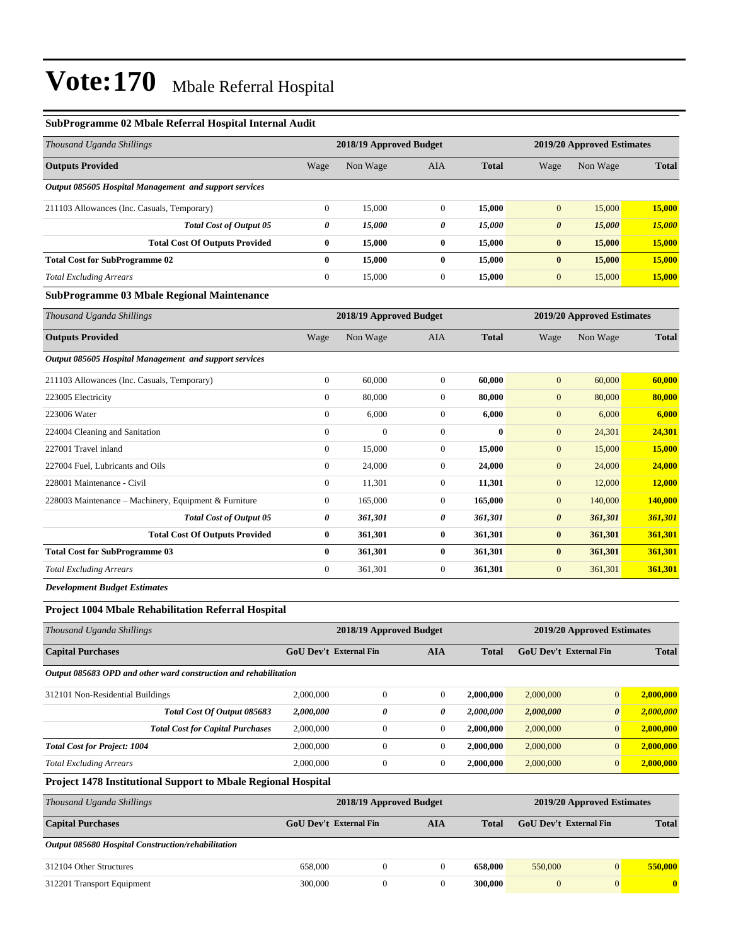#### **SubProgramme 02 Mbale Referral Hospital Internal Audit**

| Thousand Uganda Shillings                              |              | 2018/19 Approved Budget |            |              | 2019/20 Approved Estimates |          |              |  |
|--------------------------------------------------------|--------------|-------------------------|------------|--------------|----------------------------|----------|--------------|--|
| <b>Outputs Provided</b>                                | Wage         | Non Wage                | <b>AIA</b> | <b>Total</b> | Wage                       | Non Wage | <b>Total</b> |  |
| Output 085605 Hospital Management and support services |              |                         |            |              |                            |          |              |  |
| 211103 Allowances (Inc. Casuals, Temporary)            | $\mathbf{0}$ | 15,000                  | $\theta$   | 15,000       | $\mathbf{0}$               | 15,000   | 15,000       |  |
| <b>Total Cost of Output 05</b>                         | 0            | 15,000                  | 0          | 15,000       | $\boldsymbol{\theta}$      | 15,000   | 15,000       |  |
| <b>Total Cost Of Outputs Provided</b>                  | $\bf{0}$     | 15,000                  | $\bf{0}$   | 15,000       | $\bf{0}$                   | 15,000   | 15,000       |  |
| <b>Total Cost for SubProgramme 02</b>                  | $\bf{0}$     | 15,000                  | $\bf{0}$   | 15,000       | $\bf{0}$                   | 15,000   | 15,000       |  |
| <b>Total Excluding Arrears</b>                         | $\mathbf{0}$ | 15,000                  | $\theta$   | 15,000       | $\mathbf{0}$               | 15,000   | 15,000       |  |
| <b>SubProgramme 03 Mbale Regional Maintenance</b>      |              |                         |            |              |                            |          |              |  |

| Thousand Uganda Shillings                              |                | 2018/19 Approved Budget |                |              |                       | 2019/20 Approved Estimates |              |
|--------------------------------------------------------|----------------|-------------------------|----------------|--------------|-----------------------|----------------------------|--------------|
| <b>Outputs Provided</b>                                | Wage           | Non Wage                | <b>AIA</b>     | <b>Total</b> | Wage                  | Non Wage                   | <b>Total</b> |
| Output 085605 Hospital Management and support services |                |                         |                |              |                       |                            |              |
| 211103 Allowances (Inc. Casuals, Temporary)            | $\overline{0}$ | 60,000                  | $\overline{0}$ | 60,000       | $\mathbf{0}$          | 60,000                     | 60,000       |
| 223005 Electricity                                     | $\overline{0}$ | 80,000                  | $\overline{0}$ | 80,000       | $\mathbf{0}$          | 80,000                     | 80,000       |
| 223006 Water                                           | $\overline{0}$ | 6,000                   | $\overline{0}$ | 6,000        | $\mathbf{0}$          | 6,000                      | 6,000        |
| 224004 Cleaning and Sanitation                         | $\mathbf{0}$   | $\boldsymbol{0}$        | $\overline{0}$ | $\bf{0}$     | $\mathbf{0}$          | 24,301                     | 24,301       |
| 227001 Travel inland                                   | $\overline{0}$ | 15,000                  | $\overline{0}$ | 15,000       | $\mathbf{0}$          | 15,000                     | 15,000       |
| 227004 Fuel, Lubricants and Oils                       | $\overline{0}$ | 24,000                  | $\overline{0}$ | 24,000       | $\mathbf{0}$          | 24,000                     | 24,000       |
| 228001 Maintenance - Civil                             | $\overline{0}$ | 11,301                  | $\overline{0}$ | 11,301       | $\mathbf{0}$          | 12,000                     | 12,000       |
| 228003 Maintenance - Machinery, Equipment & Furniture  | $\mathbf{0}$   | 165,000                 | $\overline{0}$ | 165,000      | $\mathbf{0}$          | 140,000                    | 140,000      |
| <b>Total Cost of Output 05</b>                         | 0              | 361,301                 | 0              | 361,301      | $\boldsymbol{\theta}$ | 361,301                    | 361,301      |
| <b>Total Cost Of Outputs Provided</b>                  | $\bf{0}$       | 361,301                 | $\bf{0}$       | 361,301      | $\bf{0}$              | 361,301                    | 361,301      |
| <b>Total Cost for SubProgramme 03</b>                  | $\bf{0}$       | 361,301                 | $\bf{0}$       | 361,301      | $\bf{0}$              | 361,301                    | 361,301      |
| <b>Total Excluding Arrears</b>                         | $\mathbf{0}$   | 361,301                 | $\overline{0}$ | 361,301      | $\mathbf{0}$          | 361,301                    | 361,301      |

*Development Budget Estimates*

#### **Project 1004 Mbale Rehabilitation Referral Hospital**

| <b>GoU</b> Dev't External Fin<br><b>AIA</b><br><b>Total</b>      |                |              |                         | <b>Total</b> |                       |                                                             |
|------------------------------------------------------------------|----------------|--------------|-------------------------|--------------|-----------------------|-------------------------------------------------------------|
| Output 085683 OPD and other ward construction and rehabilitation |                |              |                         |              |                       |                                                             |
| 2,000,000                                                        | $\mathbf{0}$   | $\Omega$     | 2,000,000               | 2,000,000    | $\overline{0}$        | 2.000.000                                                   |
| 2,000,000                                                        | 0              | 0            | 2,000,000               | 2,000,000    | $\boldsymbol{\theta}$ | 2.000.000                                                   |
| 2,000,000                                                        | $\overline{0}$ | $\mathbf{0}$ | 2,000,000               | 2,000,000    | $\overline{0}$        | 2.000.000                                                   |
| 2,000,000                                                        | $\mathbf{0}$   | $\mathbf{0}$ | 2,000,000               | 2,000,000    | $\overline{0}$        | 2.000.000                                                   |
| 2,000,000                                                        | $\overline{0}$ | $\Omega$     | 2,000,000               | 2,000,000    | $\overline{0}$        | 2,000,000                                                   |
|                                                                  |                |              | 2018/19 Approved Budget |              |                       | 2019/20 Approved Estimates<br><b>GoU</b> Dev't External Fin |

**Project 1478 Institutional Support to Mbale Regional Hospital**

| Thousand Uganda Shillings                          | 2019/20 Approved Estimates<br>2018/19 Approved Budget |              |     |         |                               |                |              |
|----------------------------------------------------|-------------------------------------------------------|--------------|-----|---------|-------------------------------|----------------|--------------|
| <b>Capital Purchases</b>                           | <b>GoU</b> Dev't External Fin                         |              | AIA | Total   | <b>GoU</b> Dev't External Fin |                | <b>Total</b> |
| Output 085680 Hospital Construction/rehabilitation |                                                       |              |     |         |                               |                |              |
| 312104 Other Structures                            | 658,000                                               | 0            |     | 658,000 | 550,000                       | $\mathbf{0}$   | 550,000      |
| 312201 Transport Equipment                         | 300,000                                               | $\mathbf{0}$ |     | 300,000 | $\mathbf{0}$                  | $\overline{0}$ |              |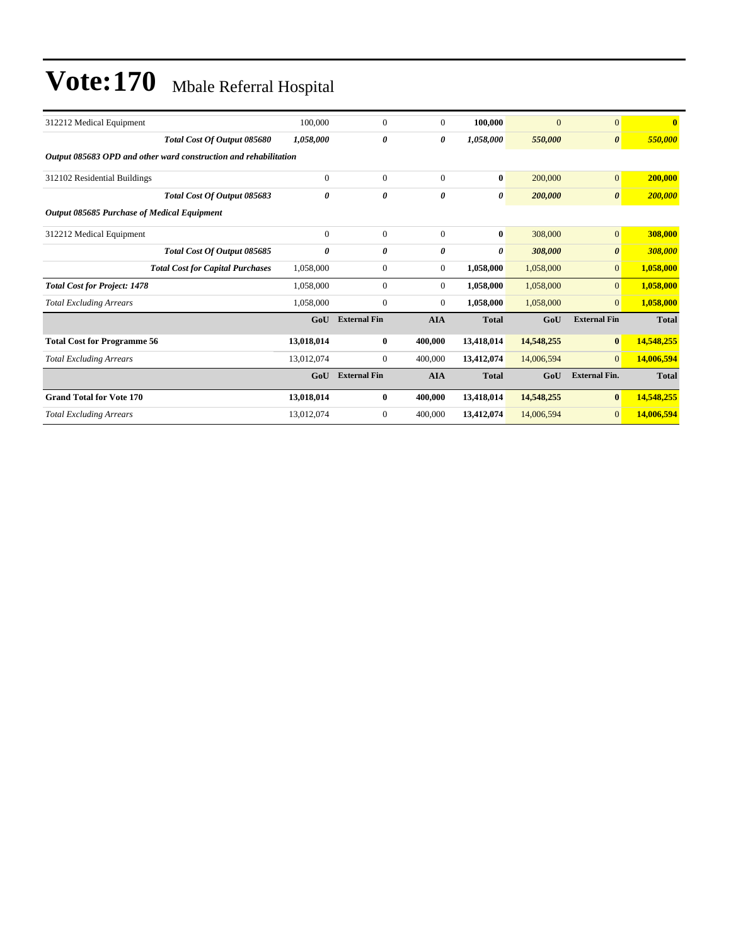| 100,000                                                          | $\Omega$            | $\mathbf{0}$     | 100,000      | $\overline{0}$ | $\Omega$              |              |
|------------------------------------------------------------------|---------------------|------------------|--------------|----------------|-----------------------|--------------|
| 1,058,000                                                        | 0                   | 0                | 1,058,000    | 550,000        | $\boldsymbol{\theta}$ | 550,000      |
| Output 085683 OPD and other ward construction and rehabilitation |                     |                  |              |                |                       |              |
| $\theta$                                                         | $\Omega$            | $\mathbf{0}$     | $\bf{0}$     | 200,000        | $\overline{0}$        | 200,000      |
| 0                                                                | 0                   | $\theta$         | 0            | 200,000        | $\boldsymbol{\theta}$ | 200,000      |
|                                                                  |                     |                  |              |                |                       |              |
| $\theta$                                                         | $\Omega$            | $\mathbf{0}$     | $\bf{0}$     | 308,000        | $\overline{0}$        | 308,000      |
| 0                                                                | 0                   | $\theta$         | 0            | 308,000        | $\boldsymbol{\theta}$ | 308,000      |
| 1,058,000                                                        | $\Omega$            | $\boldsymbol{0}$ | 1,058,000    | 1,058,000      | $\overline{0}$        | 1,058,000    |
| 1,058,000                                                        | $\mathbf{0}$        | $\overline{0}$   | 1,058,000    | 1,058,000      | $\overline{0}$        | 1,058,000    |
| 1,058,000                                                        | $\Omega$            | $\boldsymbol{0}$ | 1,058,000    | 1,058,000      | $\overline{0}$        | 1,058,000    |
| GoU                                                              | <b>External Fin</b> | <b>AIA</b>       | <b>Total</b> | GoU            | <b>External Fin</b>   | <b>Total</b> |
| 13,018,014                                                       | $\bf{0}$            | 400,000          | 13,418,014   | 14,548,255     | $\bf{0}$              | 14,548,255   |
| 13,012,074                                                       | $\mathbf{0}$        | 400,000          | 13,412,074   | 14,006,594     | $\overline{0}$        | 14,006,594   |
| GoU                                                              | <b>External Fin</b> | <b>AIA</b>       | <b>Total</b> | GoU            | <b>External Fin.</b>  | <b>Total</b> |
| 13,018,014                                                       | $\bf{0}$            | 400,000          | 13,418,014   | 14,548,255     | $\bf{0}$              | 14,548,255   |
| 13,012,074                                                       | $\overline{0}$      | 400,000          | 13,412,074   | 14,006,594     | $\overline{0}$        | 14,006,594   |
|                                                                  |                     |                  |              |                |                       |              |